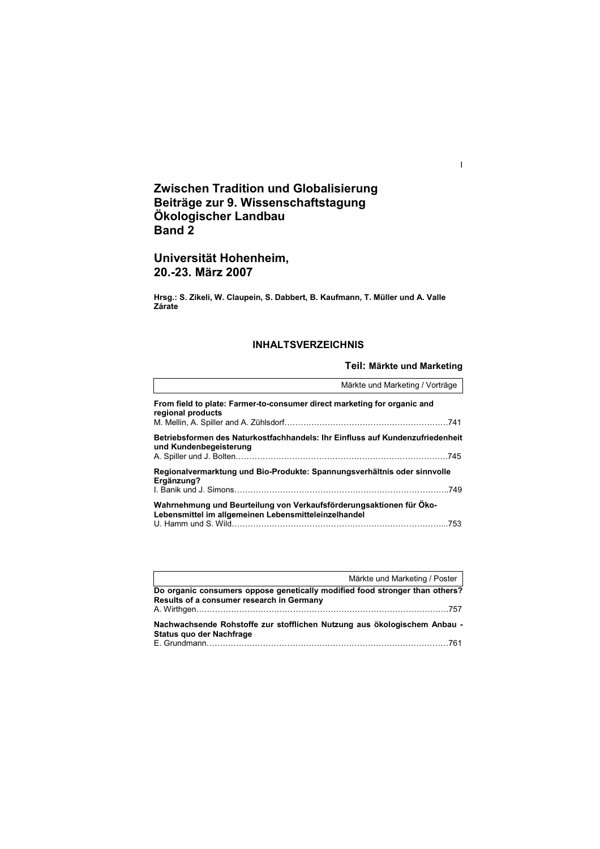# **Zwischen Tradition und Globalisierung Beiträge zur 9. Wissenschaftstagung Ökologischer Landbau Band 2**

# **Universität Hohenheim, 20.-23. März 2007**

**Hrsg.: S. Zikeli, W. Claupein, S. Dabbert, B. Kaufmann, T. Müller und A. Valle Zárate** 

# **INHALTSVERZEICHNIS**

# **Teil: Märkte und Marketing**

I

|                                                                                                                             | Märkte und Marketing / Vorträge |
|-----------------------------------------------------------------------------------------------------------------------------|---------------------------------|
| From field to plate: Farmer-to-consumer direct marketing for organic and<br>regional products                               |                                 |
| Betriebsformen des Naturkostfachhandels: Ihr Einfluss auf Kundenzufriedenheit<br>und Kundenbegeisterung                     |                                 |
| Regionalvermarktung und Bio-Produkte: Spannungsverhältnis oder sinnvolle<br>Ergänzung?                                      |                                 |
| Wahrnehmung und Beurteilung von Verkaufsförderungsaktionen für Öko-<br>Lebensmittel im allgemeinen Lebensmitteleinzelhandel |                                 |

|                                                                                                                          | Märkte und Marketing / Poster |
|--------------------------------------------------------------------------------------------------------------------------|-------------------------------|
| Do organic consumers oppose genetically modified food stronger than others?<br>Results of a consumer research in Germany |                               |
| Nachwachsende Rohstoffe zur stofflichen Nutzung aus ökologischem Anbau -<br>Status quo der Nachfrage                     |                               |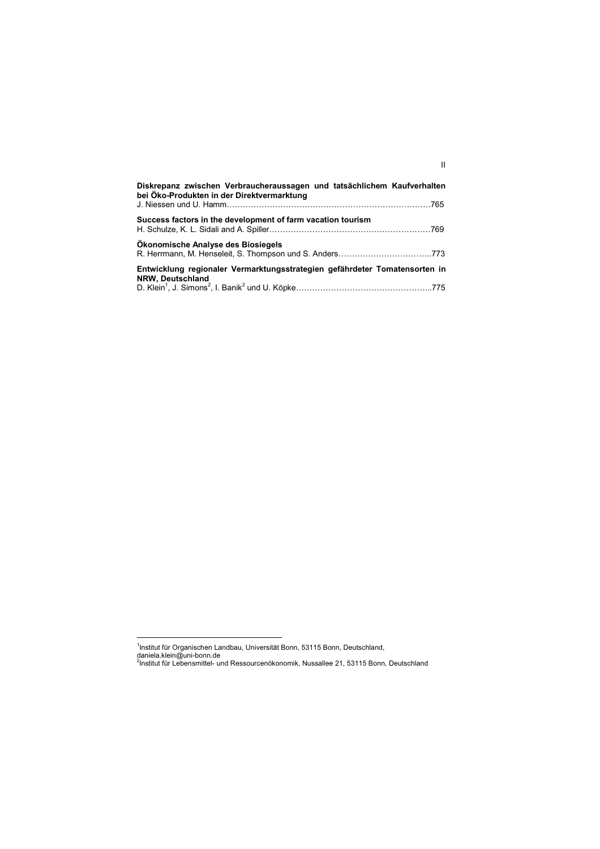| Diskrepanz zwischen Verbraucheraussagen und tatsächlichem Kaufverhalten<br>bei Öko-Produkten in der Direktvermarktung |  |
|-----------------------------------------------------------------------------------------------------------------------|--|
|                                                                                                                       |  |
| Success factors in the development of farm vacation tourism                                                           |  |
| Okonomische Analyse des Biosiegels                                                                                    |  |
| Entwicklung regionaler Vermarktungsstrategien gefährdeter Tomatensorten in<br>NRW, Deutschland                        |  |
|                                                                                                                       |  |

II

<sup>&</sup>lt;u>.</u><br><sup>1</sup>Institut für Organischen Landbau, Universität Bonn, 53115 Bonn, Deutschland,

daniela.klein@uni-bonn.de<br><sup>2</sup>Institut für Lebensmittel- und Ressourcenökonomik, Nussallee 21, 53115 Bonn, Deutschland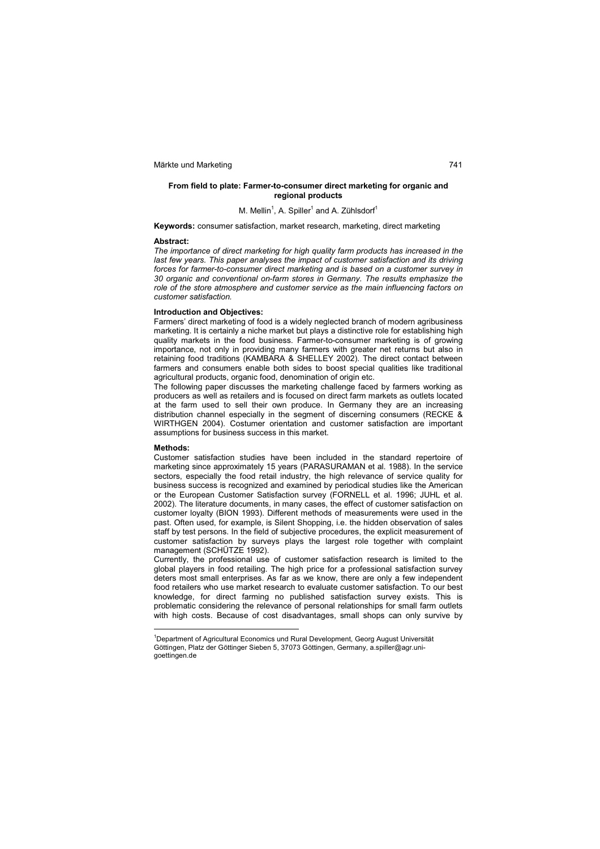### **From field to plate: Farmer-to-consumer direct marketing for organic and regional products**

### M. Mellin<sup>1</sup>, A. Spiller<sup>1</sup> and A. Zühlsdorf<sup>1</sup>

**Keywords:** consumer satisfaction, market research, marketing, direct marketing

### **Abstract:**

*The importance of direct marketing for high quality farm products has increased in the*  last few years. This paper analyses the impact of customer satisfaction and its driving *forces for farmer-to-consumer direct marketing and is based on a customer survey in 30 organic and conventional on-farm stores in Germany. The results emphasize the role of the store atmosphere and customer service as the main influencing factors on customer satisfaction.* 

### **Introduction and Objectives:**

Farmers' direct marketing of food is a widely neglected branch of modern agribusiness marketing. It is certainly a niche market but plays a distinctive role for establishing high quality markets in the food business. Farmer-to-consumer marketing is of growing importance, not only in providing many farmers with greater net returns but also in retaining food traditions (KAMBARA & SHELLEY 2002). The direct contact between farmers and consumers enable both sides to boost special qualities like traditional agricultural products, organic food, denomination of origin etc.

The following paper discusses the marketing challenge faced by farmers working as producers as well as retailers and is focused on direct farm markets as outlets located at the farm used to sell their own produce. In Germany they are an increasing distribution channel especially in the segment of discerning consumers (RECKE & WIRTHGEN 2004). Costumer orientation and customer satisfaction are important assumptions for business success in this market.

### **Methods:**

 $\overline{a}$ 

Customer satisfaction studies have been included in the standard repertoire of marketing since approximately 15 years (PARASURAMAN et al. 1988). In the service sectors, especially the food retail industry, the high relevance of service quality for business success is recognized and examined by periodical studies like the American or the European Customer Satisfaction survey (FORNELL et al. 1996; JUHL et al. 2002). The literature documents, in many cases, the effect of customer satisfaction on customer loyalty (BION 1993). Different methods of measurements were used in the past. Often used, for example, is Silent Shopping, i.e. the hidden observation of sales staff by test persons. In the field of subjective procedures, the explicit measurement of customer satisfaction by surveys plays the largest role together with complaint management (SCHÜTZE 1992).

Currently, the professional use of customer satisfaction research is limited to the global players in food retailing. The high price for a professional satisfaction survey deters most small enterprises. As far as we know, there are only a few independent food retailers who use market research to evaluate customer satisfaction. To our best knowledge, for direct farming no published satisfaction survey exists. This is problematic considering the relevance of personal relationships for small farm outlets with high costs. Because of cost disadvantages, small shops can only survive by

<sup>&</sup>lt;sup>1</sup>Department of Agricultural Economics und Rural Development, Georg August Universität Göttingen, Platz der Göttinger Sieben 5, 37073 Göttingen, Germany, a.spiller@agr.unigoettingen.de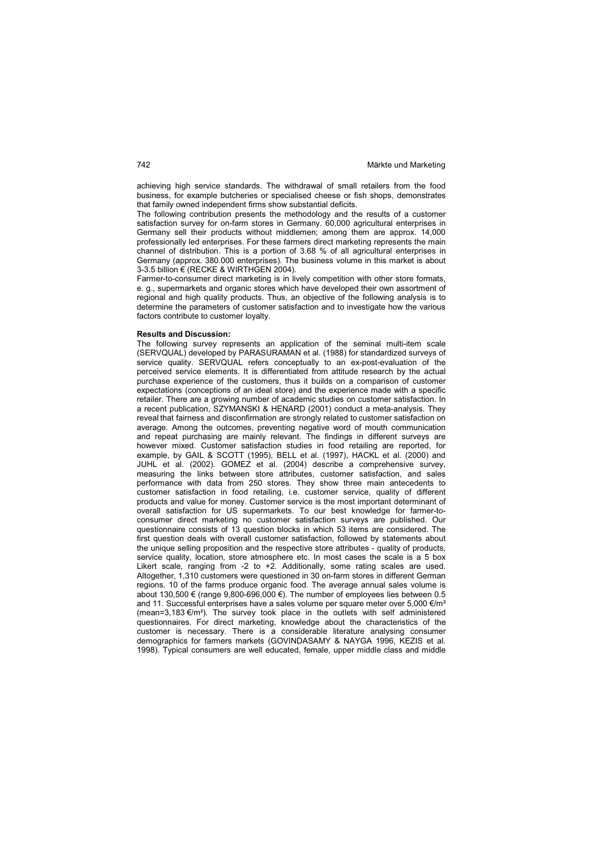achieving high service standards. The withdrawal of small retailers from the food business, for example butcheries or specialised cheese or fish shops, demonstrates that family owned independent firms show substantial deficits.

The following contribution presents the methodology and the results of a customer satisfaction survey for on-farm stores in Germany. 60,000 agricultural enterprises in Germany sell their products without middlemen; among them are approx. 14,000 professionally led enterprises. For these farmers direct marketing represents the main channel of distribution. This is a portion of 3.68 % of all agricultural enterprises in Germany (approx. 380.000 enterprises). The business volume in this market is about 3-3.5 billion € (RECKE & WIRTHGEN 2004).

Farmer-to-consumer direct marketing is in lively competition with other store formats, e. g., supermarkets and organic stores which have developed their own assortment of regional and high quality products. Thus, an objective of the following analysis is to determine the parameters of customer satisfaction and to investigate how the various factors contribute to customer loyalty.

### **Results and Discussion:**

The following survey represents an application of the seminal multi-item scale (SERVQUAL) developed by PARASURAMAN et al. (1988) for standardized surveys of service quality. SERVQUAL refers conceptually to an ex-post-evaluation of the perceived service elements. It is differentiated from attitude research by the actual purchase experience of the customers, thus it builds on a comparison of customer expectations (conceptions of an ideal store) and the experience made with a specific retailer. There are a growing number of academic studies on customer satisfaction. In a recent publication, SZYMANSKI & HENARD (2001) conduct a meta-analysis. They reveal that fairness and disconfirmation are strongly related to customer satisfaction on average. Among the outcomes, preventing negative word of mouth communication and repeat purchasing are mainly relevant. The findings in different surveys are however mixed. Customer satisfaction studies in food retailing are reported, for example, by GAIL & SCOTT (1995), BELL et al. (1997), HACKL et al. (2000) and JUHL et al. (2002). GOMEZ et al. (2004) describe a comprehensive survey, measuring the links between store attributes, customer satisfaction, and sales performance with data from 250 stores. They show three main antecedents to customer satisfaction in food retailing, i.e. customer service, quality of different products and value for money. Customer service is the most important determinant of overall satisfaction for US supermarkets. To our best knowledge for farmer-toconsumer direct marketing no customer satisfaction surveys are published. Our questionnaire consists of 13 question blocks in which 53 items are considered. The first question deals with overall customer satisfaction, followed by statements about the unique selling proposition and the respective store attributes - quality of products, service quality, location, store atmosphere etc. In most cases the scale is a 5 box Likert scale, ranging from -2 to +2. Additionally, some rating scales are used. Altogether, 1,310 customers were questioned in 30 on-farm stores in different German regions. 10 of the farms produce organic food. The average annual sales volume is about 130,500 € (range  $9,800$ -696,000 €). The number of employees lies between 0.5 and 11. Successful enterprises have a sales volume per square meter over 5,000  $\epsilon/m^2$ (mean=3,183 €/m²). The survey took place in the outlets with self administered questionnaires. For direct marketing, knowledge about the characteristics of the customer is necessary. There is a considerable literature analysing consumer demographics for farmers markets (GOVINDASAMY & NAYGA 1996, KEZIS et al. 1998). Typical consumers are well educated, female, upper middle class and middle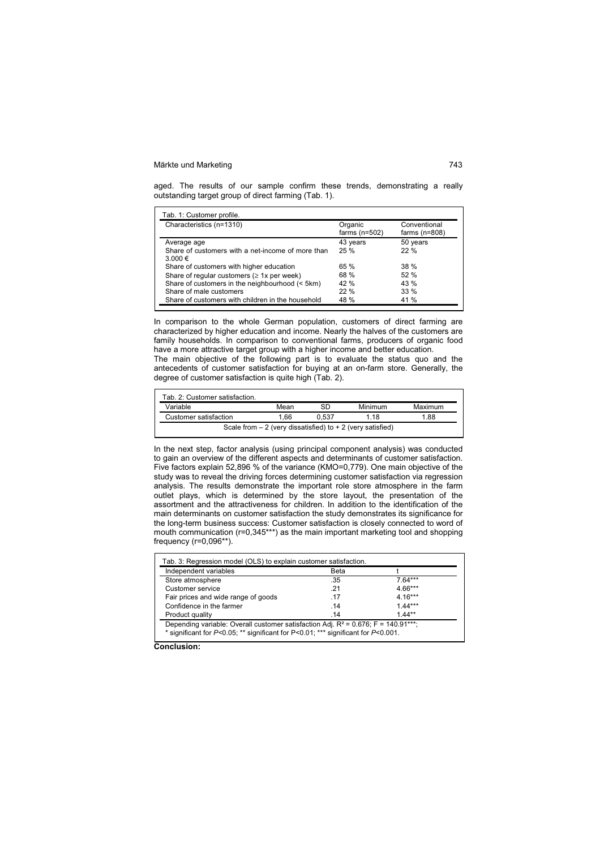aged. The results of our sample confirm these trends, demonstrating a really outstanding target group of direct farming (Tab. 1).

| Characteristics (n=1310)                                     | Organic<br>farms $(n=502)$ | Conventional<br>farms $(n=808)$ |
|--------------------------------------------------------------|----------------------------|---------------------------------|
| Average age                                                  | 43 years                   | 50 years                        |
| Share of customers with a net-income of more than<br>3.000 € | 25%                        | 22%                             |
| Share of customers with higher education                     | 65 %                       | 38%                             |
| Share of regular customers ( $\geq 1x$ per week)             | 68 %                       | 52%                             |
| Share of customers in the neighbourhood (< 5km)              | 42%                        | 43 %                            |
| Share of male customers                                      | 22%                        | 33%                             |
| Share of customers with children in the household            | 48 %                       | 41 %                            |

In comparison to the whole German population, customers of direct farming are characterized by higher education and income. Nearly the halves of the customers are family households. In comparison to conventional farms, producers of organic food have a more attractive target group with a higher income and better education.

The main objective of the following part is to evaluate the status quo and the antecedents of customer satisfaction for buying at an on-farm store. Generally, the degree of customer satisfaction is quite high (Tab. 2).

| Tab. 2: Customer satisfaction.                               |      |       |         |         |  |
|--------------------------------------------------------------|------|-------|---------|---------|--|
| Variable                                                     | Mean |       | Minimum | Maximum |  |
| Customer satisfaction                                        | 1.66 | 0.537 | 1 1 8   | 1.88    |  |
| Scale from $-2$ (very dissatisfied) to $+2$ (very satisfied) |      |       |         |         |  |

In the next step, factor analysis (using principal component analysis) was conducted to gain an overview of the different aspects and determinants of customer satisfaction. Five factors explain 52,896 % of the variance (KMO=0,779). One main objective of the study was to reveal the driving forces determining customer satisfaction via regression analysis. The results demonstrate the important role store atmosphere in the farm outlet plays, which is determined by the store layout, the presentation of the assortment and the attractiveness for children. In addition to the identification of the main determinants on customer satisfaction the study demonstrates its significance for the long-term business success: Customer satisfaction is closely connected to word of mouth communication (r=0,345\*\*\*) as the main important marketing tool and shopping frequency (r=0,096\*\*).

| Independent variables               | Beta |           |
|-------------------------------------|------|-----------|
| Store atmosphere                    | .35  | 764***    |
| Customer service                    | -21  | $4.66***$ |
| Fair prices and wide range of goods | -17  | $4.16***$ |
| Confidence in the farmer            | .14  | $1.44***$ |
| Product quality                     | .14  | $1.44***$ |

**Conclusion:**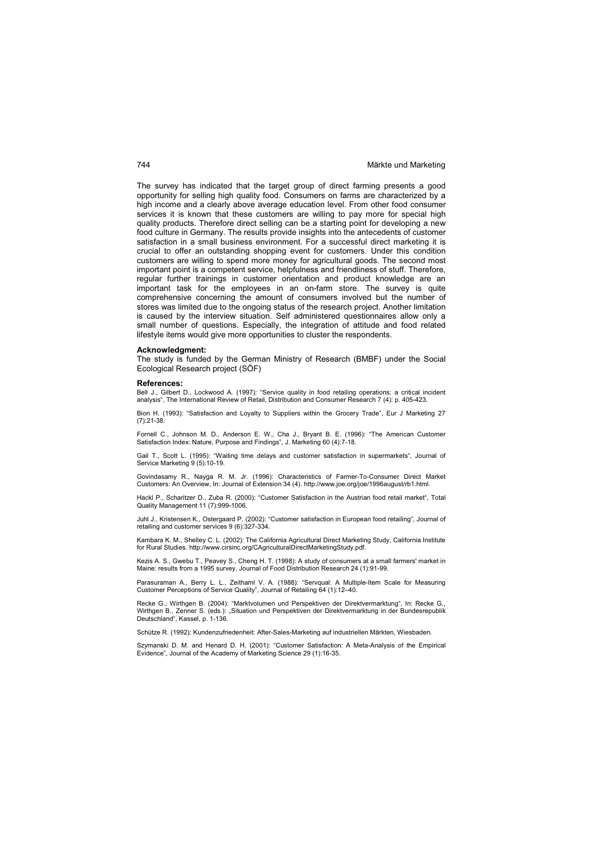The survey has indicated that the target group of direct farming presents a good opportunity for selling high quality food. Consumers on farms are characterized by a high income and a clearly above average education level. From other food consumer services it is known that these customers are willing to pay more for special high quality products. Therefore direct selling can be a starting point for developing a new food culture in Germany. The results provide insights into the antecedents of customer satisfaction in a small business environment. For a successful direct marketing it is crucial to offer an outstanding shopping event for customers. Under this condition customers are willing to spend more money for agricultural goods. The second most important point is a competent service, helpfulness and friendliness of stuff. Therefore, regular further trainings in customer orientation and product knowledge are an important task for the employees in an on-farm store. The survey is quite comprehensive concerning the amount of consumers involved but the number of stores was limited due to the ongoing status of the research project. Another limitation is caused by the interview situation. Self administered questionnaires allow only a small number of questions. Especially, the integration of attitude and food related lifestyle items would give more opportunities to cluster the respondents.

### **Acknowledgment:**

The study is funded by the German Ministry of Research (BMBF) under the Social Ecological Research project (SÖF)

### **References:**

Bell J., Gilbert D., Lockwood A. (1997): "Service quality in food retailing operations: a critical incident analysis", The International Review of Retail, Distribution and Consumer Research 7 (4): p. 405-423.

Bion H. (1993): "Satisfaction and Loyalty to Suppliers within the Grocery Trade", Eur J Marketing 27 (7):21-38.

Fornell C., Johnson M. D., Anderson E. W., Cha J., Bryant B. E. (1996): "The American Customer Satisfaction Index: Nature, Purpose and Findings", J. Marketing 60 (4):7-18.

Gail T., Scott L. (1995): "Waiting time delays and customer satisfaction in supermarkets", Journal of Service Marketing 9 (5):10-19.

Govindasamy R., Nayga R. M. Jr. (1996): Characteristics of Farmer-To-Consumer Direct Market Customers: An Overview, In: Journal of Extension 34 (4). http://www.joe.org/joe/1996august/rb1.html.

Hackl P., Scharitzer D., Zuba R. (2000): "Customer Satisfaction in the Austrian food retail market", Total Quality Management 11 (7):999-1006.

Juhl J., Kristensen K., Ostergaard P. (2002): "Customer satisfaction in European food retailing", Journal of retailing and customer services 9 (6):327-334.

Kambara K. M., Shelley C. L. (2002): The California Agricultural Direct Marketing Study, California Institute for Rural Studies. http://www.cirsinc.org/CAgriculturalDirectMarketingStudy.pdf.

Kezis A. S., Gwebu T., Peavey S., Cheng H. T. (1998): A study of consumers at a small farmers' market in Maine: results from a 1995 survey, Journal of Food Distribution Research 24 (1):91-99.

Parasuraman A., Berry L. L., Zeithaml V. A. (1988): "Servqual: A Multiple-Item Scale for Measuring Customer Perceptions of Service Quality", Journal of Retailing 64 (1):12–40.

Recke G., Wirthgen B. (2004): "Marktvolumen und Perspektiven der Direktvermarktung", In: Recke G., Wirthgen B., Zenner S. (eds.): "Situation und Perspektiven der Direktvermarktung in der Bundesrepublik Deutschland", Kassel, p. 1-136.

Schütze R. (1992): Kundenzufriedenheit: After-Sales-Marketing auf industriellen Märkten, Wiesbaden.

Szymanski D. M. and Henard D. H. (2001): "Customer Satisfaction: A Meta-Analysis of the Empirical Evidence", Journal of the Academy of Marketing Science 29 (1):16-35.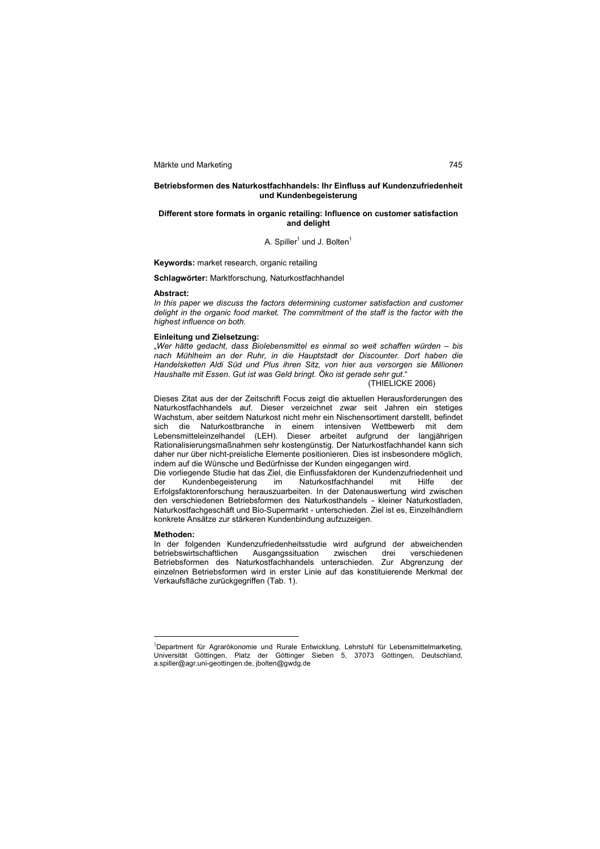### **Betriebsformen des Naturkostfachhandels: Ihr Einfluss auf Kundenzufriedenheit und Kundenbegeisterung**

### **Different store formats in organic retailing: Influence on customer satisfaction and delight**

### A. Spiller $^1$  und J. Bolten $^1$

**Keywords:** market research, organic retailing

**Schlagwörter:** Marktforschung, Naturkostfachhandel

### **Abstract:**

*In this paper we discuss the factors determining customer satisfaction and customer delight in the organic food market. The commitment of the staff is the factor with the highest influence on both.* 

### **Einleitung und Zielsetzung:**

"*Wer hätte gedacht, dass Biolebensmittel es einmal so weit schaffen würden – bis nach Mühlheim an der Ruhr, in die Hauptstadt der Discounter. Dort haben die Handelsketten Aldi Süd und Plus ihren Sitz, von hier aus versorgen sie Millionen Haushalte mit Essen. Gut ist was Geld bringt. Öko ist gerade sehr gut*."

### (THIELICKE 2006)

Dieses Zitat aus der der Zeitschrift Focus zeigt die aktuellen Herausforderungen des Naturkostfachhandels auf. Dieser verzeichnet zwar seit Jahren ein stetiges Wachstum, aber seitdem Naturkost nicht mehr ein Nischensortiment darstellt, befindet sich die Naturkostbranche in einem intensiven Wettbewerb mit dem Lebensmitteleinzelhandel (LEH). Dieser arbeitet aufgrund der langjährigen Rationalisierungsmaßnahmen sehr kostengünstig. Der Naturkostfachhandel kann sich daher nur über nicht-preisliche Elemente positionieren. Dies ist insbesondere möglich, indem auf die Wünsche und Bedürfnisse der Kunden eingegangen wird.

Die vorliegende Studie hat das Ziel, die Einflussfaktoren der Kundenzufriedenheit und<br>der MKundenbegeisterung im Naturkostfachhandel mit Hilfe der der Kundenbegeisterung im Naturkostfachhandel mit Hilfe der Erfolgsfaktorenforschung herauszuarbeiten. In der Datenauswertung wird zwischen den verschiedenen Betriebsformen des Naturkosthandels - kleiner Naturkostladen, Naturkostfachgeschäft und Bio-Supermarkt - unterschieden. Ziel ist es, Einzelhändlern konkrete Ansätze zur stärkeren Kundenbindung aufzuzeigen.

### **Methoden:**

 $\overline{a}$ 

In der folgenden Kundenzufriedenheitsstudie wird aufgrund der abweichenden betriebswirtschaftlichen Ausgangssituation zwischen drei verschiedenen Betriebsformen des Naturkostfachhandels unterschieden. Zur Abgrenzung der einzelnen Betriebsformen wird in erster Linie auf das konstituierende Merkmal der Verkaufsfläche zurückgegriffen (Tab. 1).

<sup>&</sup>lt;sup>1</sup>Department für Agrarökonomie und Rurale Entwicklung, Lehrstuhl für Lebensmittelmarketing, Universität Göttingen, Platz der Göttinger Sieben 5, 37073 Göttingen, Deutschland, a.spiller@agr.uni-geottingen.de, jbolten@gwdg.de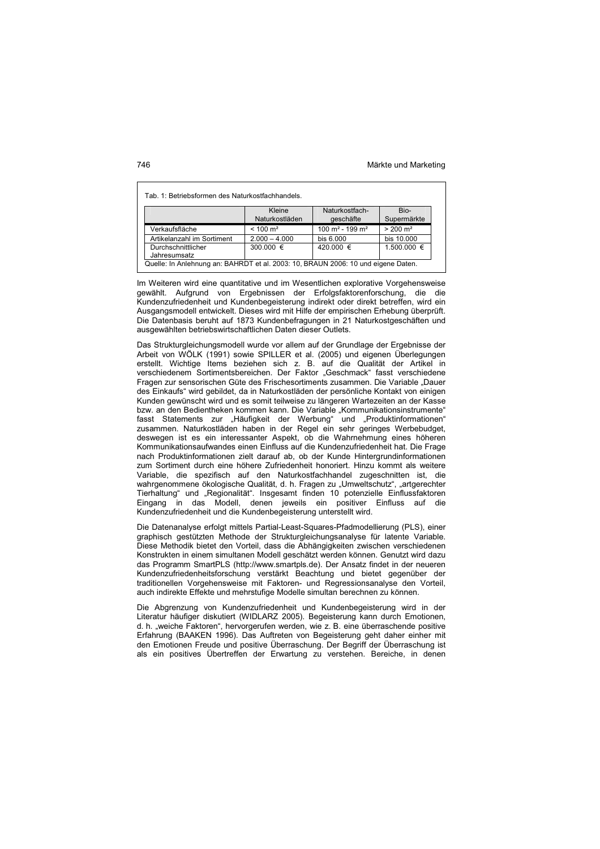| Tab. 1: Betriebsformen des Naturkostfachhandels.                                    |                          |                                         |                     |  |  |
|-------------------------------------------------------------------------------------|--------------------------|-----------------------------------------|---------------------|--|--|
|                                                                                     | Kleine<br>Naturkostläden | Naturkostfach-<br>geschäfte             | Bio-<br>Supermärkte |  |  |
| Verkaufsfläche                                                                      | $< 100 \text{ m}^2$      | 100 m <sup>2</sup> - 199 m <sup>2</sup> | $> 200 \text{ m}^2$ |  |  |
| Artikelanzahl im Sortiment                                                          | $2.000 - 4.000$          | bis $6.000$                             | bis 10.000          |  |  |
| 420.000 €<br>$1.500.000 \in$<br>300.000 $\in$<br>Durchschnittlicher<br>Jahresumsatz |                          |                                         |                     |  |  |
| Quelle: In Anlehnung an: BAHRDT et al. 2003: 10, BRAUN 2006: 10 und eigene Daten.   |                          |                                         |                     |  |  |

Im Weiteren wird eine quantitative und im Wesentlichen explorative Vorgehensweise gewählt. Aufgrund von Ergebnissen der Erfolgsfaktorenforschung, die die Kundenzufriedenheit und Kundenbegeisterung indirekt oder direkt betreffen, wird ein Ausgangsmodell entwickelt. Dieses wird mit Hilfe der empirischen Erhebung überprüft. Die Datenbasis beruht auf 1873 Kundenbefragungen in 21 Naturkostgeschäften und ausgewählten betriebswirtschaftlichen Daten dieser Outlets.

Das Strukturgleichungsmodell wurde vor allem auf der Grundlage der Ergebnisse der Arbeit von WÖLK (1991) sowie SPILLER et al. (2005) und eigenen Überlegungen erstellt. Wichtige Items beziehen sich z. B. auf die Qualität der Artikel in verschiedenem Sortimentsbereichen. Der Faktor "Geschmack" fasst verschiedene Fragen zur sensorischen Güte des Frischesortiments zusammen. Die Variable "Dauer des Einkaufs" wird gebildet, da in Naturkostläden der persönliche Kontakt von einigen Kunden gewünscht wird und es somit teilweise zu längeren Wartezeiten an der Kasse bzw. an den Bedientheken kommen kann. Die Variable "Kommunikationsinstrumente" fasst Statements zur "Häufigkeit der Werbung" und "Produktinformationen" zusammen. Naturkostläden haben in der Regel ein sehr geringes Werbebudget, deswegen ist es ein interessanter Aspekt, ob die Wahrnehmung eines höheren Kommunikationsaufwandes einen Einfluss auf die Kundenzufriedenheit hat. Die Frage nach Produktinformationen zielt darauf ab, ob der Kunde Hintergrundinformationen zum Sortiment durch eine höhere Zufriedenheit honoriert. Hinzu kommt als weitere Variable, die spezifisch auf den Naturkostfachhandel zugeschnitten ist, die wahrgenommene ökologische Qualität, d. h. Fragen zu "Umweltschutz", "artgerechter Tierhaltung" und "Regionalität". Insgesamt finden 10 potenzielle Einflussfaktoren Eingang in das Modell, denen jeweils ein positiver Einfluss auf die Kundenzufriedenheit und die Kundenbegeisterung unterstellt wird.

Die Datenanalyse erfolgt mittels Partial-Least-Squares-Pfadmodellierung (PLS), einer graphisch gestützten Methode der Strukturgleichungsanalyse für latente Variable. Diese Methodik bietet den Vorteil, dass die Abhängigkeiten zwischen verschiedenen Konstrukten in einem simultanen Modell geschätzt werden können. Genutzt wird dazu das Programm SmartPLS (http://www.smartpls.de). Der Ansatz findet in der neueren Kundenzufriedenheitsforschung verstärkt Beachtung und bietet gegenüber der traditionellen Vorgehensweise mit Faktoren- und Regressionsanalyse den Vorteil, auch indirekte Effekte und mehrstufige Modelle simultan berechnen zu können.

Die Abgrenzung von Kundenzufriedenheit und Kundenbegeisterung wird in der Literatur häufiger diskutiert (WIDLARZ 2005). Begeisterung kann durch Emotionen, d. h. "weiche Faktoren", hervorgerufen werden, wie z. B. eine überraschende positive Erfahrung (BAAKEN 1996). Das Auftreten von Begeisterung geht daher einher mit den Emotionen Freude und positive Überraschung. Der Begriff der Überraschung ist als ein positives Übertreffen der Erwartung zu verstehen. Bereiche, in denen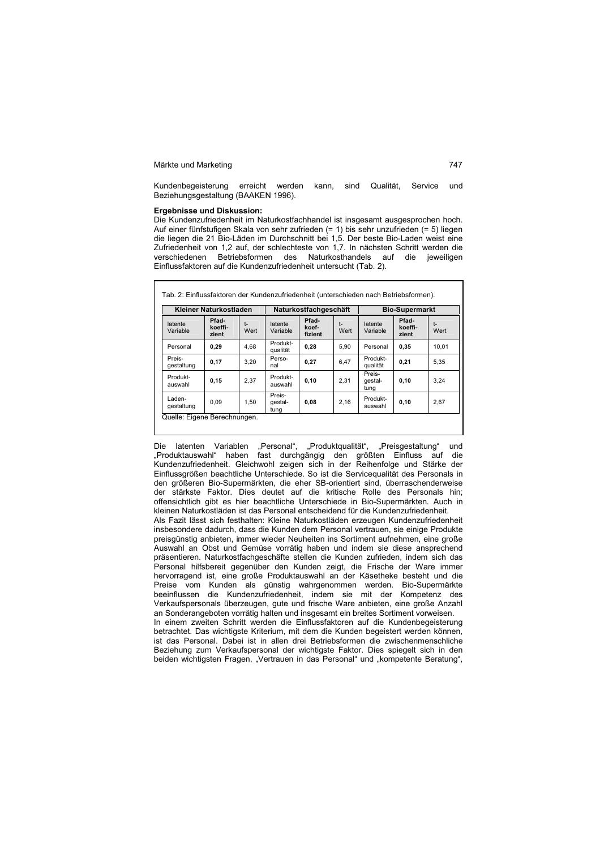Kundenbegeisterung erreicht werden kann, sind Qualität, Service und Beziehungsgestaltung (BAAKEN 1996).

### **Ergebnisse und Diskussion:**

Die Kundenzufriedenheit im Naturkostfachhandel ist insgesamt ausgesprochen hoch. Auf einer fünfstufigen Skala von sehr zufrieden (= 1) bis sehr unzufrieden (= 5) liegen die liegen die 21 Bio-Läden im Durchschnitt bei 1,5. Der beste Bio-Laden weist eine Zufriedenheit von 1,2 auf, der schlechteste von 1,7. In nächsten Schritt werden die verschiedenen Betriebsformen des Naturkosthandels auf die jeweiligen Einflussfaktoren auf die Kundenzufriedenheit untersucht (Tab. 2).

|                      | Kleiner Naturkostladen    |              |                           | Naturkostfachgeschäft     |            |                           | <b>Bio-Supermarkt</b>     |              |
|----------------------|---------------------------|--------------|---------------------------|---------------------------|------------|---------------------------|---------------------------|--------------|
| latente<br>Variable  | Pfad-<br>koeffi-<br>zient | $t-$<br>Wert | latente<br>Variable       | Pfad-<br>koef-<br>fizient | t-<br>Wert | latente<br>Variable       | Pfad-<br>koeffi-<br>zient | $t-$<br>Wert |
| Personal             | 0,29                      | 4,68         | Produkt-<br>qualität      | 0,28                      | 5.90       | Personal                  | 0,35                      | 10,01        |
| Preis-<br>gestaltung | 0,17                      | 3.20         | Perso-<br>nal             | 0,27                      | 6,47       | Produkt-<br>qualität      | 0.21                      | 5.35         |
| Produkt-<br>auswahl  | 0, 15                     | 2.37         | Produkt-<br>auswahl       | 0, 10                     | 2.31       | Preis-<br>gestal-<br>tung | 0.10                      | 3.24         |
| Laden-<br>gestaltung | 0.09                      | 1.50         | Preis-<br>gestal-<br>tung | 0,08                      | 2,16       | Produkt-<br>auswahl       | 0, 10                     | 2,67         |

Die latenten Variablen "Personal", "Produktqualität", "Preisgestaltung" und "Produktauswahl" haben fast durchgängig den größten Einfluss auf die Kundenzufriedenheit. Gleichwohl zeigen sich in der Reihenfolge und Stärke der Einflussgrößen beachtliche Unterschiede. So ist die Servicequalität des Personals in den größeren Bio-Supermärkten, die eher SB-orientiert sind, überraschenderweise der stärkste Faktor. Dies deutet auf die kritische Rolle des Personals hin; offensichtlich gibt es hier beachtliche Unterschiede in Bio-Supermärkten. Auch in kleinen Naturkostläden ist das Personal entscheidend für die Kundenzufriedenheit.

Als Fazit lässt sich festhalten: Kleine Naturkostläden erzeugen Kundenzufriedenheit insbesondere dadurch, dass die Kunden dem Personal vertrauen, sie einige Produkte preisgünstig anbieten, immer wieder Neuheiten ins Sortiment aufnehmen, eine große Auswahl an Obst und Gemüse vorrätig haben und indem sie diese ansprechend präsentieren. Naturkostfachgeschäfte stellen die Kunden zufrieden, indem sich das Personal hilfsbereit gegenüber den Kunden zeigt, die Frische der Ware immer hervorragend ist, eine große Produktauswahl an der Käsetheke besteht und die Preise vom Kunden als günstig wahrgenommen werden. Bio-Supermärkte beeinflussen die Kundenzufriedenheit, indem sie mit der Kompetenz des Verkaufspersonals überzeugen, gute und frische Ware anbieten, eine große Anzahl an Sonderangeboten vorrätig halten und insgesamt ein breites Sortiment vorweisen. In einem zweiten Schritt werden die Einflussfaktoren auf die Kundenbegeisterung betrachtet. Das wichtigste Kriterium, mit dem die Kunden begeistert werden können, ist das Personal. Dabei ist in allen drei Betriebsformen die zwischenmenschliche Beziehung zum Verkaufspersonal der wichtigste Faktor. Dies spiegelt sich in den beiden wichtigsten Fragen, "Vertrauen in das Personal" und "kompetente Beratung",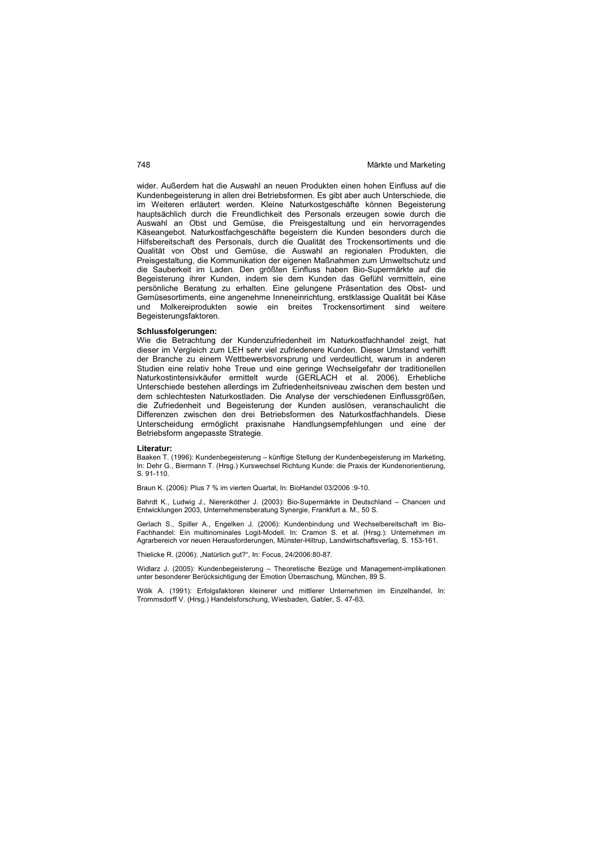wider. Außerdem hat die Auswahl an neuen Produkten einen hohen Einfluss auf die Kundenbegeisterung in allen drei Betriebsformen. Es gibt aber auch Unterschiede, die im Weiteren erläutert werden. Kleine Naturkostgeschäfte können Begeisterung hauptsächlich durch die Freundlichkeit des Personals erzeugen sowie durch die Auswahl an Obst und Gemüse, die Preisgestaltung und ein hervorragendes Käseangebot. Naturkostfachgeschäfte begeistern die Kunden besonders durch die Hilfsbereitschaft des Personals, durch die Qualität des Trockensortiments und die Qualität von Obst und Gemüse, die Auswahl an regionalen Produkten, die Preisgestaltung, die Kommunikation der eigenen Maßnahmen zum Umweltschutz und die Sauberkeit im Laden. Den größten Einfluss haben Bio-Supermärkte auf die Begeisterung ihrer Kunden, indem sie dem Kunden das Gefühl vermitteln, eine persönliche Beratung zu erhalten. Eine gelungene Präsentation des Obst- und Gemüsesortiments, eine angenehme Inneneinrichtung, erstklassige Qualität bei Käse und Molkereiprodukten sowie ein breites Trockensortiment sind weitere Begeisterungsfaktoren.

### **Schlussfolgerungen:**

Wie die Betrachtung der Kundenzufriedenheit im Naturkostfachhandel zeigt, hat dieser im Vergleich zum LEH sehr viel zufriedenere Kunden. Dieser Umstand verhilft der Branche zu einem Wettbewerbsvorsprung und verdeutlicht, warum in anderen Studien eine relativ hohe Treue und eine geringe Wechselgefahr der traditionellen Naturkostintensivkäufer ermittelt wurde (GERLACH et al. 2006). Erhebliche Unterschiede bestehen allerdings im Zufriedenheitsniveau zwischen dem besten und dem schlechtesten Naturkostladen. Die Analyse der verschiedenen Einflussgrößen, die Zufriedenheit und Begeisterung der Kunden auslösen, veranschaulicht die Differenzen zwischen den drei Betriebsformen des Naturkostfachhandels. Diese Unterscheidung ermöglicht praxisnahe Handlungsempfehlungen und eine der Betriebsform angepasste Strategie.

### **Literatur:**

Baaken T. (1996): Kundenbegeisterung – künftige Stellung der Kundenbegeisterung im Marketing, In: Dehr G., Biermann T. (Hrsg.) Kurswechsel Richtung Kunde: die Praxis der Kundenorientierung, S. 91-110.

Braun K. (2006): Plus 7 % im vierten Quartal, In: BioHandel 03/2006 :9-10.

Bahrdt K., Ludwig J., Nierenköther J. (2003): Bio-Supermärkte in Deutschland – Chancen und Entwicklungen 2003, Unternehmensberatung Synergie, Frankfurt a. M., 50 S.

Gerlach S., Spiller A., Engelken J. (2006): Kundenbindung und Wechselbereitschaft im Bio-Fachhandel: Ein multinominales Logit-Modell. In: Cramon S. et al. (Hrsg.): Unternehmen im Agrarbereich vor neuen Herausforderungen, Münster-Hiltrup, Landwirtschaftsverlag, S. 153-161.

Thielicke R. (2006): "Natürlich gut?", In: Focus, 24/2006:80-87.

Widlarz J. (2005): Kundenbegeisterung – Theoretische Bezüge und Management-implikationen unter besonderer Berücksichtigung der Emotion Überraschung, München, 89 S.

Wölk A. (1991): Erfolgsfaktoren kleinerer und mittlerer Unternehmen im Einzelhandel, In: Trommsdorff V. (Hrsg.) Handelsforschung, Wiesbaden, Gabler, S. 47-63.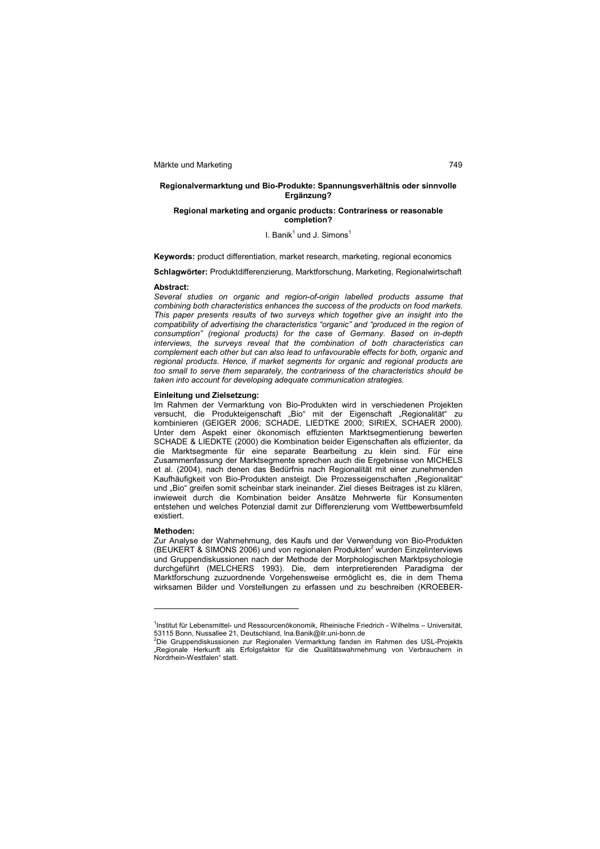### **Regionalvermarktung und Bio-Produkte: Spannungsverhältnis oder sinnvolle Ergänzung?**

### **Regional marketing and organic products: Contrariness or reasonable completion?**

### I. Banik<sup>1</sup> und J. Simons<sup>1</sup>

**Keywords:** product differentiation, market research, marketing, regional economics

# **Schlagwörter:** Produktdifferenzierung, Marktforschung, Marketing, Regionalwirtschaft

### **Abstract:**

*Several studies on organic and region-of-origin labelled products assume that combining both characteristics enhances the success of the products on food markets. This paper presents results of two surveys which together give an insight into the compatibility of advertising the characteristics "organic" and "produced in the region of consumption" (regional products) for the case of Germany. Based on in-depth interviews, the surveys reveal that the combination of both characteristics can complement each other but can also lead to unfavourable effects for both, organic and regional products. Hence, if market segments for organic and regional products are too small to serve them separately, the contrariness of the characteristics should be taken into account for developing adequate communication strategies.* 

### **Einleitung und Zielsetzung:**

Im Rahmen der Vermarktung von Bio-Produkten wird in verschiedenen Projekten versucht, die Produkteigenschaft "Bio" mit der Eigenschaft "Regionalität" zu kombinieren (GEIGER 2006; SCHADE, LIEDTKE 2000; SIRIEX, SCHAER 2000). Unter dem Aspekt einer ökonomisch effizienten Marktsegmentierung bewerten SCHADE & LIEDKTE (2000) die Kombination beider Eigenschaften als effizienter, da die Marktsegmente für eine separate Bearbeitung zu klein sind. Für eine Zusammenfassung der Marktsegmente sprechen auch die Ergebnisse von MICHELS et al. (2004), nach denen das Bedürfnis nach Regionalität mit einer zunehmenden Kaufhäufigkeit von Bio-Produkten ansteigt. Die Prozesseigenschaften "Regionalität" und "Bio" greifen somit scheinbar stark ineinander. Ziel dieses Beitrages ist zu klären, inwieweit durch die Kombination beider Ansätze Mehrwerte für Konsumenten entstehen und welches Potenzial damit zur Differenzierung vom Wettbewerbsumfeld existiert.

### **Methoden:**

 $\overline{a}$ 

Zur Analyse der Wahrnehmung, des Kaufs und der Verwendung von Bio-Produkten (BEUKERT & SIMONS 2006) und von regionalen Produkten<sup>2</sup> wurden Einzelinterviews und Gruppendiskussionen nach der Methode der Morphologischen Marktpsychologie durchgeführt (MELCHERS 1993). Die, dem interpretierenden Paradigma der Marktforschung zuzuordnende Vorgehensweise ermöglicht es, die in dem Thema wirksamen Bilder und Vorstellungen zu erfassen und zu beschreiben (KROEBER-

<sup>&</sup>lt;sup>1</sup>Institut für Lebensmittel- und Ressourcenökonomik, Rheinische Friedrich - Wilhelms – Universität, 53115 Bonn, Nussallee 21, Deutschland, Ina.Banik@ilr.uni-bonn.de <sup>2</sup>Die Gruppendiskussionen zur Regionalen Vermarktung fanden im Rahmen des USL-Projekts

<sup>&</sup>quot;Regionale Herkunft als Erfolgsfaktor für die Qualitätswahrnehmung von Verbrauchern in Nordrhein-Westfalen" statt.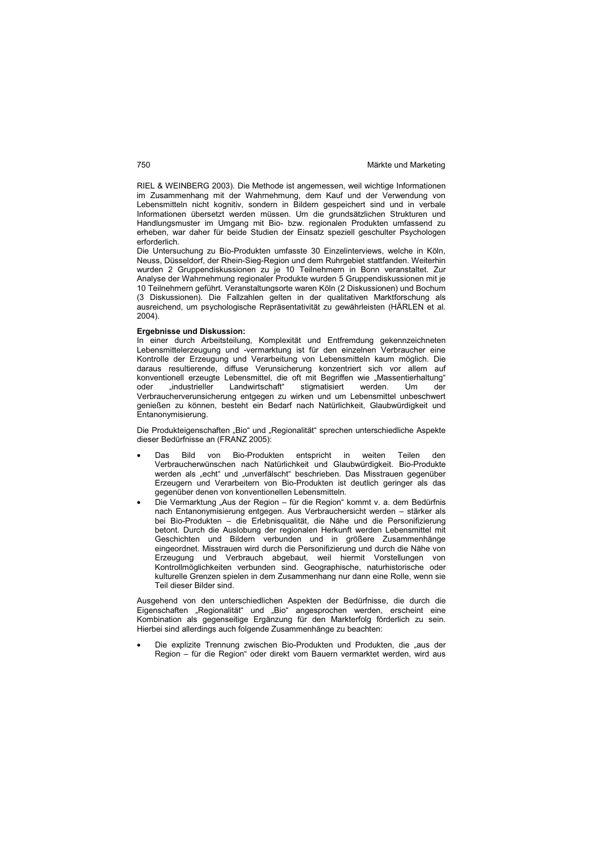RIEL & WEINBERG 2003). Die Methode ist angemessen, weil wichtige Informationen im Zusammenhang mit der Wahrnehmung, dem Kauf und der Verwendung von Lebensmitteln nicht kognitiv, sondern in Bildern gespeichert sind und in verbale Informationen übersetzt werden müssen. Um die grundsätzlichen Strukturen und Handlungsmuster im Umgang mit Bio- bzw. regionalen Produkten umfassend zu erheben, war daher für beide Studien der Einsatz speziell geschulter Psychologen erforderlich.

Die Untersuchung zu Bio-Produkten umfasste 30 Einzelinterviews, welche in Köln, Neuss, Düsseldorf, der Rhein-Sieg-Region und dem Ruhrgebiet stattfanden. Weiterhin wurden 2 Gruppendiskussionen zu je 10 Teilnehmern in Bonn veranstaltet. Zur Analyse der Wahrnehmung regionaler Produkte wurden 5 Gruppendiskussionen mit je 10 Teilnehmern geführt. Veranstaltungsorte waren Köln (2 Diskussionen) und Bochum (3 Diskussionen). Die Fallzahlen gelten in der qualitativen Marktforschung als ausreichend, um psychologische Repräsentativität zu gewährleisten (HÄRLEN et al. 2004).

### **Ergebnisse und Diskussion:**

In einer durch Arbeitsteilung, Komplexität und Entfremdung gekennzeichneten Lebensmittelerzeugung und -vermarktung ist für den einzelnen Verbraucher eine Kontrolle der Erzeugung und Verarbeitung von Lebensmitteln kaum möglich. Die daraus resultierende, diffuse Verunsicherung konzentriert sich vor allem auf konventionell erzeugte Lebensmittel, die oft mit Begriffen wie "Massentierhaltung"<br>oder "industrieller Landwirtschaft" stigmatisiert werden. Um der "industrieller Landwirtschaft" stigmatisiert werden. Um der Verbraucherverunsicherung entgegen zu wirken und um Lebensmittel unbeschwert genießen zu können, besteht ein Bedarf nach Natürlichkeit, Glaubwürdigkeit und Entanonymisierung.

Die Produkteigenschaften "Bio" und "Regionalität" sprechen unterschiedliche Aspekte dieser Bedürfnisse an (FRANZ 2005):

- Das Bild von Bio-Produkten entspricht in weiten Teilen den Verbraucherwünschen nach Natürlichkeit und Glaubwürdigkeit. Bio-Produkte werden als "echt" und "unverfälscht" beschrieben. Das Misstrauen gegenüber Erzeugern und Verarbeitern von Bio-Produkten ist deutlich geringer als das gegenüber denen von konventionellen Lebensmitteln.
- Die Vermarktung "Aus der Region für die Region" kommt v. a. dem Bedürfnis nach Entanonymisierung entgegen. Aus Verbrauchersicht werden – stärker als bei Bio-Produkten – die Erlebnisqualität, die Nähe und die Personifizierung betont. Durch die Auslobung der regionalen Herkunft werden Lebensmittel mit Geschichten und Bildern verbunden und in größere Zusammenhänge eingeordnet. Misstrauen wird durch die Personifizierung und durch die Nähe von Erzeugung und Verbrauch abgebaut, weil hiermit Vorstellungen von Kontrollmöglichkeiten verbunden sind. Geographische, naturhistorische oder kulturelle Grenzen spielen in dem Zusammenhang nur dann eine Rolle, wenn sie Teil dieser Bilder sind.

Ausgehend von den unterschiedlichen Aspekten der Bedürfnisse, die durch die Eigenschaften "Regionalität" und "Bio" angesprochen werden, erscheint eine Kombination als gegenseitige Ergänzung für den Markterfolg förderlich zu sein. Hierbei sind allerdings auch folgende Zusammenhänge zu beachten:

Die explizite Trennung zwischen Bio-Produkten und Produkten, die "aus der Region – für die Region" oder direkt vom Bauern vermarktet werden, wird aus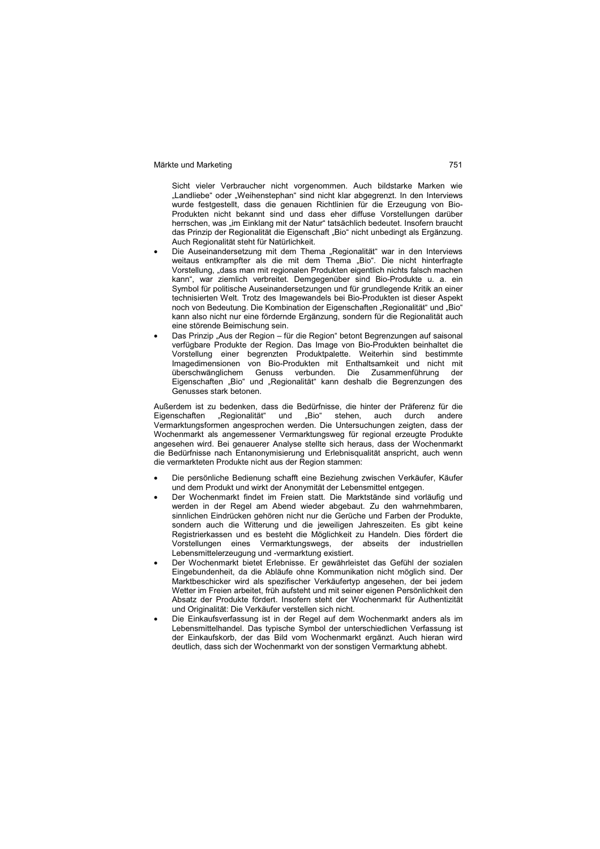Sicht vieler Verbraucher nicht vorgenommen. Auch bildstarke Marken wie "Landliebe" oder "Weihenstephan" sind nicht klar abgegrenzt. In den Interviews wurde festgestellt, dass die genauen Richtlinien für die Erzeugung von Bio-Produkten nicht bekannt sind und dass eher diffuse Vorstellungen darüber herrschen, was "im Einklang mit der Natur" tatsächlich bedeutet. Insofern braucht das Prinzip der Regionalität die Eigenschaft "Bio" nicht unbedingt als Ergänzung. Auch Regionalität steht für Natürlichkeit.

- Die Auseinandersetzung mit dem Thema "Regionalität" war in den Interviews weitaus entkrampfter als die mit dem Thema "Bio". Die nicht hinterfragte Vorstellung, "dass man mit regionalen Produkten eigentlich nichts falsch machen kann", war ziemlich verbreitet. Demgegenüber sind Bio-Produkte u. a. ein Symbol für politische Auseinandersetzungen und für grundlegende Kritik an einer technisierten Welt. Trotz des Imagewandels bei Bio-Produkten ist dieser Aspekt noch von Bedeutung. Die Kombination der Eigenschaften "Regionalität" und "Bio" kann also nicht nur eine fördernde Ergänzung, sondern für die Regionalität auch eine störende Beimischung sein.
- Das Prinzip "Aus der Region für die Region" betont Begrenzungen auf saisonal verfügbare Produkte der Region. Das Image von Bio-Produkten beinhaltet die Vorstellung einer begrenzten Produktpalette. Weiterhin sind bestimmte Imagedimensionen von Bio-Produkten mit Enthaltsamkeit und nicht mit überschwänglichem Genuss verbunden. Die Zusammenführung der Eigenschaften "Bio" und "Regionalität" kann deshalb die Begrenzungen des Genusses stark betonen.

Außerdem ist zu bedenken, dass die Bedürfnisse, die hinter der Präferenz für die Eigenschaften "Regionalität" und "Bio" stehen, auch durch andere Vermarktungsformen angesprochen werden. Die Untersuchungen zeigten, dass der Wochenmarkt als angemessener Vermarktungsweg für regional erzeugte Produkte angesehen wird. Bei genauerer Analyse stellte sich heraus, dass der Wochenmarkt die Bedürfnisse nach Entanonymisierung und Erlebnisqualität anspricht, auch wenn die vermarkteten Produkte nicht aus der Region stammen:

- Die persönliche Bedienung schafft eine Beziehung zwischen Verkäufer, Käufer und dem Produkt und wirkt der Anonymität der Lebensmittel entgegen.
- Der Wochenmarkt findet im Freien statt. Die Marktstände sind vorläufig und werden in der Regel am Abend wieder abgebaut. Zu den wahrnehmbaren, sinnlichen Eindrücken gehören nicht nur die Gerüche und Farben der Produkte, sondern auch die Witterung und die jeweiligen Jahreszeiten. Es gibt keine Registrierkassen und es besteht die Möglichkeit zu Handeln. Dies fördert die Vorstellungen eines Vermarktungswegs, der abseits der industriellen Lebensmittelerzeugung und -vermarktung existiert.
- Der Wochenmarkt bietet Erlebnisse. Er gewährleistet das Gefühl der sozialen Eingebundenheit, da die Abläufe ohne Kommunikation nicht möglich sind. Der Marktbeschicker wird als spezifischer Verkäufertyp angesehen, der bei jedem Wetter im Freien arbeitet, früh aufsteht und mit seiner eigenen Persönlichkeit den Absatz der Produkte fördert. Insofern steht der Wochenmarkt für Authentizität und Originalität: Die Verkäufer verstellen sich nicht.
- Die Einkaufsverfassung ist in der Regel auf dem Wochenmarkt anders als im Lebensmittelhandel. Das typische Symbol der unterschiedlichen Verfassung ist der Einkaufskorb, der das Bild vom Wochenmarkt ergänzt. Auch hieran wird deutlich, dass sich der Wochenmarkt von der sonstigen Vermarktung abhebt.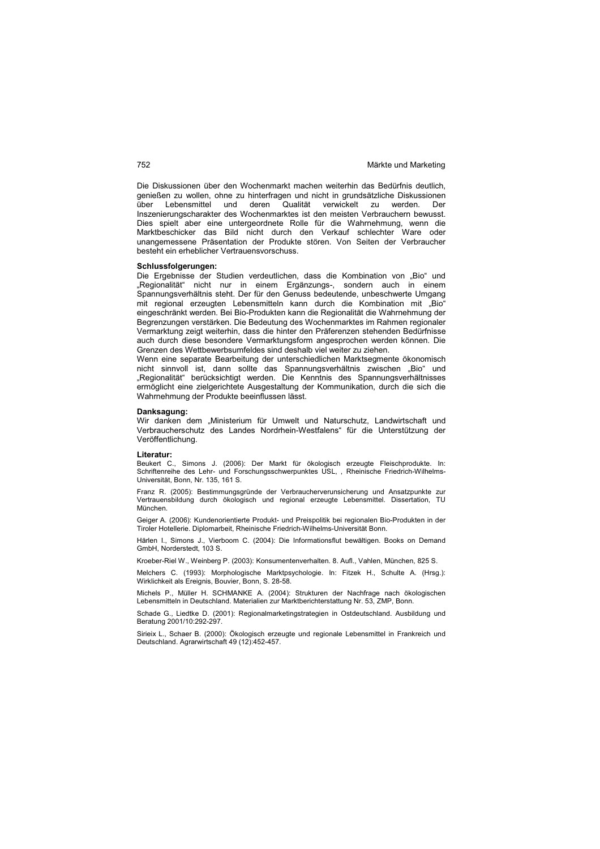Die Diskussionen über den Wochenmarkt machen weiterhin das Bedürfnis deutlich, genießen zu wollen, ohne zu hinterfragen und nicht in grundsätzliche Diskussionen über Lebensmittel und deren Qualität verwickelt zu werden. Der Inszenierungscharakter des Wochenmarktes ist den meisten Verbrauchern bewusst. Dies spielt aber eine untergeordnete Rolle für die Wahrnehmung, wenn die Marktbeschicker das Bild nicht durch den Verkauf schlechter Ware oder unangemessene Präsentation der Produkte stören. Von Seiten der Verbraucher besteht ein erheblicher Vertrauensvorschuss.

### **Schlussfolgerungen:**

Die Ergebnisse der Studien verdeutlichen, dass die Kombination von "Bio" und "Regionalität" nicht nur in einem Ergänzungs-, sondern auch in einem Spannungsverhältnis steht. Der für den Genuss bedeutende, unbeschwerte Umgang mit regional erzeugten Lebensmitteln kann durch die Kombination mit "Bio" eingeschränkt werden. Bei Bio-Produkten kann die Regionalität die Wahrnehmung der Begrenzungen verstärken. Die Bedeutung des Wochenmarktes im Rahmen regionaler Vermarktung zeigt weiterhin, dass die hinter den Präferenzen stehenden Bedürfnisse auch durch diese besondere Vermarktungsform angesprochen werden können. Die Grenzen des Wettbewerbsumfeldes sind deshalb viel weiter zu ziehen.

Wenn eine separate Bearbeitung der unterschiedlichen Marktsegmente ökonomisch nicht sinnvoll ist, dann sollte das Spannungsverhältnis zwischen "Bio" und "Regionalität" berücksichtigt werden. Die Kenntnis des Spannungsverhältnisses ermöglicht eine zielgerichtete Ausgestaltung der Kommunikation, durch die sich die Wahrnehmung der Produkte beeinflussen lässt.

### **Danksagung:**

Wir danken dem "Ministerium für Umwelt und Naturschutz, Landwirtschaft und Verbraucherschutz des Landes Nordrhein-Westfalens" für die Unterstützung der Veröffentlichung.

### **Literatur:**

Beukert C., Simons J. (2006): Der Markt für ökologisch erzeugte Fleischprodukte. In: Schriftenreihe des Lehr- und Forschungsschwerpunktes USL, , Rheinische Friedrich-Wilhelms-Universität, Bonn, Nr. 135, 161 S.

Franz R. (2005): Bestimmungsgründe der Verbraucherverunsicherung und Ansatzpunkte zur Vertrauensbildung durch ökologisch und regional erzeugte Lebensmittel. Dissertation, TU München.

Geiger A. (2006): Kundenorientierte Produkt- und Preispolitik bei regionalen Bio-Produkten in der Tiroler Hotellerie. Diplomarbeit, Rheinische Friedrich-Wilhelms-Universität Bonn.

Härlen I., Simons J., Vierboom C. (2004): Die Informationsflut bewältigen. Books on Demand GmbH, Norderstedt, 103 S.

Kroeber-Riel W., Weinberg P. (2003): Konsumentenverhalten. 8. Aufl., Vahlen, München, 825 S.

Melchers C. (1993): Morphologische Marktpsychologie. In: Fitzek H., Schulte A. (Hrsg.): Wirklichkeit als Ereignis, Bouvier, Bonn, S. 28-58.

Michels P., Müller H. SCHMANKE A. (2004): Strukturen der Nachfrage nach ökologischen Lebensmitteln in Deutschland. Materialien zur Marktberichterstattung Nr. 53, ZMP, Bonn.

Schade G., Liedtke D. (2001): Regionalmarketingstrategien in Ostdeutschland. Ausbildung und Beratung 2001/10:292-297.

Sirieix L., Schaer B. (2000): Ökologisch erzeugte und regionale Lebensmittel in Frankreich und Deutschland. Agrarwirtschaft 49 (12):452-457.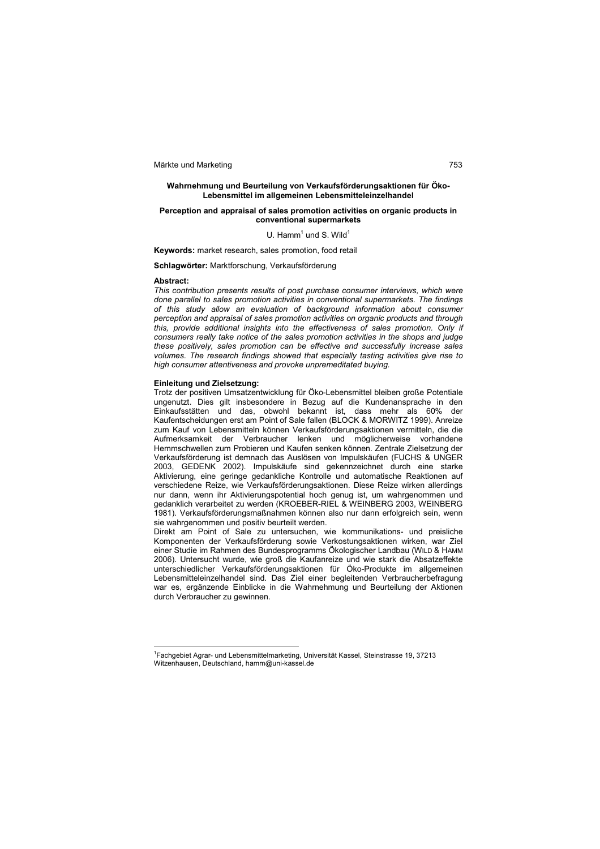### **Wahrnehmung und Beurteilung von Verkaufsförderungsaktionen für Öko-Lebensmittel im allgemeinen Lebensmitteleinzelhandel**

### **Perception and appraisal of sales promotion activities on organic products in conventional supermarkets**

### U. Hamm $<sup>1</sup>$  und S. Wild $<sup>1</sup>$ </sup></sup>

**Keywords:** market research, sales promotion, food retail

**Schlagwörter:** Marktforschung, Verkaufsförderung

### **Abstract:**

 $\overline{a}$ 

*This contribution presents results of post purchase consumer interviews, which were done parallel to sales promotion activities in conventional supermarkets. The findings of this study allow an evaluation of background information about consumer perception and appraisal of sales promotion activities on organic products and through this, provide additional insights into the effectiveness of sales promotion. Only if consumers really take notice of the sales promotion activities in the shops and judge these positively, sales promotion can be effective and successfully increase sales volumes. The research findings showed that especially tasting activities give rise to high consumer attentiveness and provoke unpremeditated buying.*

### **Einleitung und Zielsetzung:**

Trotz der positiven Umsatzentwicklung für Öko-Lebensmittel bleiben große Potentiale ungenutzt. Dies gilt insbesondere in Bezug auf die Kundenansprache in den Einkaufsstätten und das, obwohl bekannt ist, dass mehr als 60% der Kaufentscheidungen erst am Point of Sale fallen (BLOCK & MORWITZ 1999). Anreize zum Kauf von Lebensmitteln können Verkaufsförderungsaktionen vermitteln, die die Aufmerksamkeit der Verbraucher lenken und möglicherweise vorhandene Hemmschwellen zum Probieren und Kaufen senken können. Zentrale Zielsetzung der Verkaufsförderung ist demnach das Auslösen von Impulskäufen (FUCHS & UNGER 2003, GEDENK 2002). Impulskäufe sind gekennzeichnet durch eine starke Aktivierung, eine geringe gedankliche Kontrolle und automatische Reaktionen auf verschiedene Reize, wie Verkaufsförderungsaktionen. Diese Reize wirken allerdings nur dann, wenn ihr Aktivierungspotential hoch genug ist, um wahrgenommen und gedanklich verarbeitet zu werden (KROEBER-RIEL & WEINBERG 2003, WEINBERG 1981). Verkaufsförderungsmaßnahmen können also nur dann erfolgreich sein, wenn sie wahrgenommen und positiv beurteilt werden.

Direkt am Point of Sale zu untersuchen, wie kommunikations- und preisliche Komponenten der Verkaufsförderung sowie Verkostungsaktionen wirken, war Ziel einer Studie im Rahmen des Bundesprogramms Ökologischer Landbau (WILD & HAMM 2006). Untersucht wurde, wie groß die Kaufanreize und wie stark die Absatzeffekte unterschiedlicher Verkaufsförderungsaktionen für Öko-Produkte im allgemeinen Lebensmitteleinzelhandel sind. Das Ziel einer begleitenden Verbraucherbefragung war es, ergänzende Einblicke in die Wahrnehmung und Beurteilung der Aktionen durch Verbraucher zu gewinnen.

<sup>&</sup>lt;sup>1</sup> Fachgebiet Agrar- und Lebensmittelmarketing, Universität Kassel, Steinstrasse 19, 37213 Witzenhausen, Deutschland, hamm@uni-kassel.de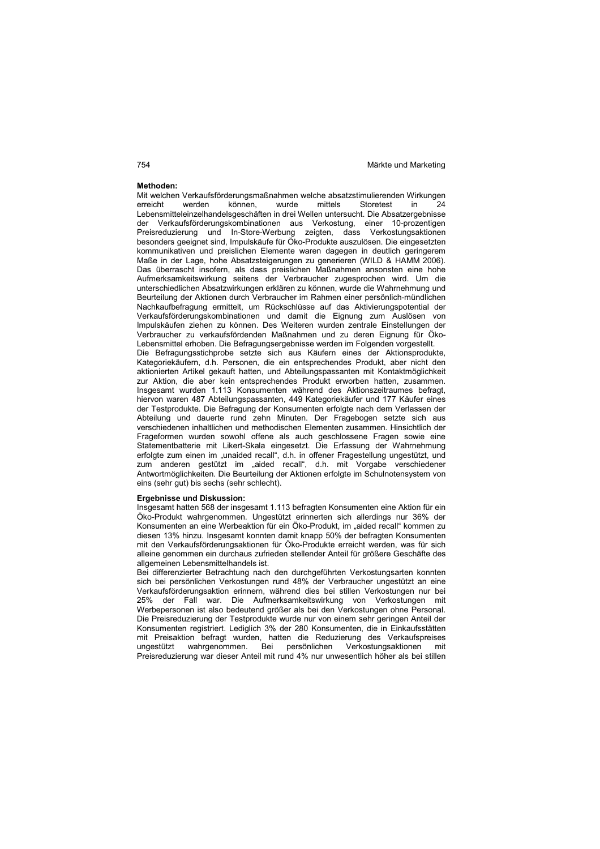### **Methoden:**

Mit welchen Verkaufsförderungsmaßnahmen welche absatzstimulierenden Wirkungen<br>erreicht werden können. wurde mittels Storetest in 24 können, wurde mittels Storetest in Lebensmitteleinzelhandelsgeschäften in drei Wellen untersucht. Die Absatzergebnisse der Verkaufsförderungskombinationen aus Verkostung, einer 10-prozentigen Preisreduzierung und In-Store-Werbung zeigten, dass Verkostungsaktionen besonders geeignet sind, Impulskäufe für Öko-Produkte auszulösen. Die eingesetzten kommunikativen und preislichen Elemente waren dagegen in deutlich geringerem Maße in der Lage, hohe Absatzsteigerungen zu generieren (WILD & HAMM 2006). Das überrascht insofern, als dass preislichen Maßnahmen ansonsten eine hohe Aufmerksamkeitswirkung seitens der Verbraucher zugesprochen wird. Um die unterschiedlichen Absatzwirkungen erklären zu können, wurde die Wahrnehmung und Beurteilung der Aktionen durch Verbraucher im Rahmen einer persönlich-mündlichen Nachkaufbefragung ermittelt, um Rückschlüsse auf das Aktivierungspotential der Verkaufsförderungskombinationen und damit die Eignung zum Auslösen von Impulskäufen ziehen zu können. Des Weiteren wurden zentrale Einstellungen der Verbraucher zu verkaufsfördenden Maßnahmen und zu deren Eignung für Öko-Lebensmittel erhoben. Die Befragungsergebnisse werden im Folgenden vorgestellt. Die Befragungsstichprobe setzte sich aus Käufern eines der Aktionsprodukte, Kategoriekäufern, d.h. Personen, die ein entsprechendes Produkt, aber nicht den aktionierten Artikel gekauft hatten, und Abteilungspassanten mit Kontaktmöglichkeit zur Aktion, die aber kein entsprechendes Produkt erworben hatten, zusammen. Insgesamt wurden 1.113 Konsumenten während des Aktionszeitraumes befragt, hiervon waren 487 Abteilungspassanten, 449 Kategoriekäufer und 177 Käufer eines der Testprodukte. Die Befragung der Konsumenten erfolgte nach dem Verlassen der Abteilung und dauerte rund zehn Minuten. Der Fragebogen setzte sich aus verschiedenen inhaltlichen und methodischen Elementen zusammen. Hinsichtlich der Frageformen wurden sowohl offene als auch geschlossene Fragen sowie eine Statementbatterie mit Likert-Skala eingesetzt. Die Erfassung der Wahrnehmung erfolgte zum einen im "unaided recall", d.h. in offener Fragestellung ungestützt, und zum anderen gestützt im "aided recall", d.h. mit Vorgabe verschiedener Antwortmöglichkeiten. Die Beurteilung der Aktionen erfolgte im Schulnotensystem von

### **Ergebnisse und Diskussion:**

eins (sehr gut) bis sechs (sehr schlecht).

Insgesamt hatten 568 der insgesamt 1.113 befragten Konsumenten eine Aktion für ein Öko-Produkt wahrgenommen. Ungestützt erinnerten sich allerdings nur 36% der Konsumenten an eine Werbeaktion für ein Öko-Produkt, im "aided recall" kommen zu diesen 13% hinzu. Insgesamt konnten damit knapp 50% der befragten Konsumenten mit den Verkaufsförderungsaktionen für Öko-Produkte erreicht werden, was für sich alleine genommen ein durchaus zufrieden stellender Anteil für größere Geschäfte des allgemeinen Lebensmittelhandels ist.

Bei differenzierter Betrachtung nach den durchgeführten Verkostungsarten konnten sich bei persönlichen Verkostungen rund 48% der Verbraucher ungestützt an eine Verkaufsförderungsaktion erinnern, während dies bei stillen Verkostungen nur bei 25% der Fall war. Die Aufmerksamkeitswirkung von Verkostungen mit Werbepersonen ist also bedeutend größer als bei den Verkostungen ohne Personal. Die Preisreduzierung der Testprodukte wurde nur von einem sehr geringen Anteil der Konsumenten registriert. Lediglich 3% der 280 Konsumenten, die in Einkaufsstätten mit Preisaktion befragt wurden, hatten die Reduzierung des Verkaufspreises ungestützt wahrgenommen. Bei persönlichen Verkostungsaktionen mit Preisreduzierung war dieser Anteil mit rund 4% nur unwesentlich höher als bei stillen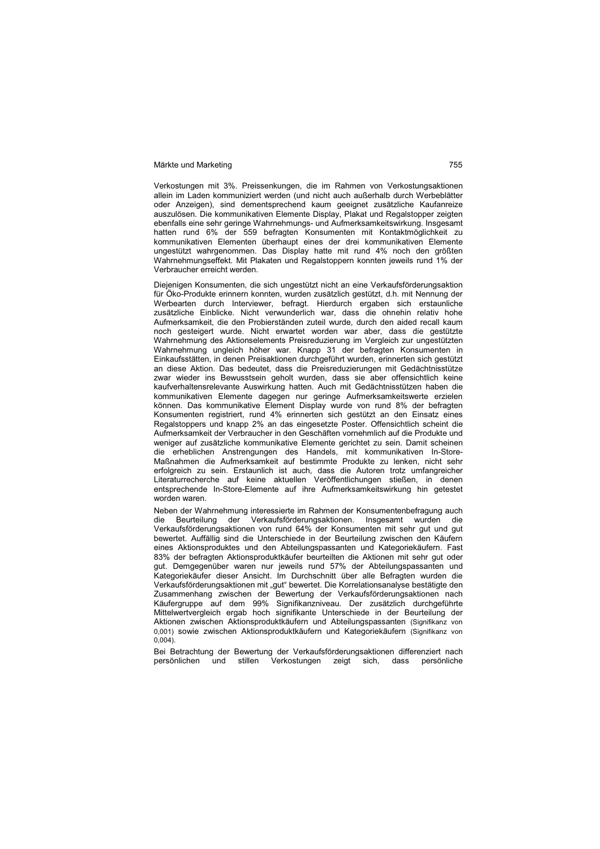Verkostungen mit 3%. Preissenkungen, die im Rahmen von Verkostungsaktionen allein im Laden kommuniziert werden (und nicht auch außerhalb durch Werbeblätter oder Anzeigen), sind dementsprechend kaum geeignet zusätzliche Kaufanreize auszulösen. Die kommunikativen Elemente Display, Plakat und Regalstopper zeigten ebenfalls eine sehr geringe Wahrnehmungs- und Aufmerksamkeitswirkung. Insgesamt hatten rund 6% der 559 befragten Konsumenten mit Kontaktmöglichkeit zu kommunikativen Elementen überhaupt eines der drei kommunikativen Elemente ungestützt wahrgenommen. Das Display hatte mit rund 4% noch den größten Wahrnehmungseffekt. Mit Plakaten und Regalstoppern konnten jeweils rund 1% der Verbraucher erreicht werden.

Diejenigen Konsumenten, die sich ungestützt nicht an eine Verkaufsförderungsaktion für Öko-Produkte erinnern konnten, wurden zusätzlich gestützt, d.h. mit Nennung der Werbearten durch Interviewer, befragt. Hierdurch ergaben sich erstaunliche zusätzliche Einblicke. Nicht verwunderlich war, dass die ohnehin relativ hohe Aufmerksamkeit, die den Probierständen zuteil wurde, durch den aided recall kaum noch gesteigert wurde. Nicht erwartet worden war aber, dass die gestützte Wahrnehmung des Aktionselements Preisreduzierung im Vergleich zur ungestützten Wahrnehmung ungleich höher war. Knapp 31 der befragten Konsumenten in Einkaufsstätten, in denen Preisaktionen durchgeführt wurden, erinnerten sich gestützt an diese Aktion. Das bedeutet, dass die Preisreduzierungen mit Gedächtnisstütze zwar wieder ins Bewusstsein geholt wurden, dass sie aber offensichtlich keine kaufverhaltensrelevante Auswirkung hatten. Auch mit Gedächtnisstützen haben die kommunikativen Elemente dagegen nur geringe Aufmerksamkeitswerte erzielen können. Das kommunikative Element Display wurde von rund 8% der befragten Konsumenten registriert, rund 4% erinnerten sich gestützt an den Einsatz eines Regalstoppers und knapp 2% an das eingesetzte Poster. Offensichtlich scheint die Aufmerksamkeit der Verbraucher in den Geschäften vornehmlich auf die Produkte und weniger auf zusätzliche kommunikative Elemente gerichtet zu sein. Damit scheinen die erheblichen Anstrengungen des Handels, mit kommunikativen In-Store-Maßnahmen die Aufmerksamkeit auf bestimmte Produkte zu lenken, nicht sehr erfolgreich zu sein. Erstaunlich ist auch, dass die Autoren trotz umfangreicher Literaturrecherche auf keine aktuellen Veröffentlichungen stießen, in denen entsprechende In-Store-Elemente auf ihre Aufmerksamkeitswirkung hin getestet worden waren.

Neben der Wahrnehmung interessierte im Rahmen der Konsumentenbefragung auch die Beurteilung der Verkaufsförderungsaktionen. Insgesamt wurden die Verkaufsförderungsaktionen von rund 64% der Konsumenten mit sehr gut und gut bewertet. Auffällig sind die Unterschiede in der Beurteilung zwischen den Käufern eines Aktionsproduktes und den Abteilungspassanten und Kategoriekäufern. Fast 83% der befragten Aktionsproduktkäufer beurteilten die Aktionen mit sehr gut oder gut. Demgegenüber waren nur jeweils rund 57% der Abteilungspassanten und Kategoriekäufer dieser Ansicht. Im Durchschnitt über alle Befragten wurden die Verkaufsförderungsaktionen mit "gut" bewertet. Die Korrelationsanalyse bestätigte den Zusammenhang zwischen der Bewertung der Verkaufsförderungsaktionen nach Käufergruppe auf dem 99% Signifikanzniveau. Der zusätzlich durchgeführte Mittelwertvergleich ergab hoch signifikante Unterschiede in der Beurteilung der Aktionen zwischen Aktionsproduktkäufern und Abteilungspassanten (Signifikanz von 0,001) sowie zwischen Aktionsproduktkäufern und Kategoriekäufern (Signifikanz von  $0,004$ ).

Bei Betrachtung der Bewertung der Verkaufsförderungsaktionen differenziert nach persönlichen und stillen Verkostungen zeigt sich, dass persönliche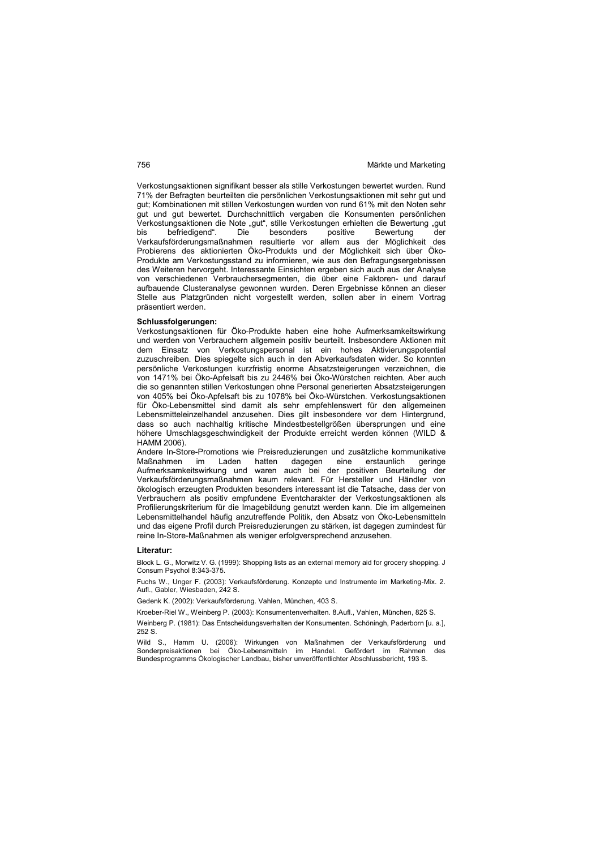Verkostungsaktionen signifikant besser als stille Verkostungen bewertet wurden. Rund 71% der Befragten beurteilten die persönlichen Verkostungsaktionen mit sehr gut und gut; Kombinationen mit stillen Verkostungen wurden von rund 61% mit den Noten sehr gut und gut bewertet. Durchschnittlich vergaben die Konsumenten persönlichen Verkostungsaktionen die Note "gut", stille Verkostungen erhielten die Bewertung "gut<br>
bis befriedigend". Die besonders positive Bewertung der befriedigend". Verkaufsförderungsmaßnahmen resultierte vor allem aus der Möglichkeit des Probierens des aktionierten Öko-Produkts und der Möglichkeit sich über Öko-Produkte am Verkostungsstand zu informieren, wie aus den Befragungsergebnissen des Weiteren hervorgeht. Interessante Einsichten ergeben sich auch aus der Analyse von verschiedenen Verbrauchersegmenten, die über eine Faktoren- und darauf aufbauende Clusteranalyse gewonnen wurden. Deren Ergebnisse können an dieser Stelle aus Platzgründen nicht vorgestellt werden, sollen aber in einem Vortrag präsentiert werden.

### **Schlussfolgerungen:**

Verkostungsaktionen für Öko-Produkte haben eine hohe Aufmerksamkeitswirkung und werden von Verbrauchern allgemein positiv beurteilt. Insbesondere Aktionen mit dem Einsatz von Verkostungspersonal ist ein hohes Aktivierungspotential zuzuschreiben. Dies spiegelte sich auch in den Abverkaufsdaten wider. So konnten persönliche Verkostungen kurzfristig enorme Absatzsteigerungen verzeichnen, die von 1471% bei Öko-Apfelsaft bis zu 2446% bei Öko-Würstchen reichten. Aber auch die so genannten stillen Verkostungen ohne Personal generierten Absatzsteigerungen von 405% bei Öko-Apfelsaft bis zu 1078% bei Öko-Würstchen. Verkostungsaktionen für Öko-Lebensmittel sind damit als sehr empfehlenswert für den allgemeinen Lebensmitteleinzelhandel anzusehen. Dies gilt insbesondere vor dem Hintergrund, dass so auch nachhaltig kritische Mindestbestellgrößen übersprungen und eine höhere Umschlagsgeschwindigkeit der Produkte erreicht werden können (WILD & HAMM 2006).

Andere In-Store-Promotions wie Preisreduzierungen und zusätzliche kommunikative Maßnahmen im Laden hatten dagegen eine erstaunlich geringe Aufmerksamkeitswirkung und waren auch bei der positiven Beurteilung der Verkaufsförderungsmaßnahmen kaum relevant. Für Hersteller und Händler von ökologisch erzeugten Produkten besonders interessant ist die Tatsache, dass der von Verbrauchern als positiv empfundene Eventcharakter der Verkostungsaktionen als Profilierungskriterium für die Imagebildung genutzt werden kann. Die im allgemeinen Lebensmittelhandel häufig anzutreffende Politik, den Absatz von Öko-Lebensmitteln und das eigene Profil durch Preisreduzierungen zu stärken, ist dagegen zumindest für reine In-Store-Maßnahmen als weniger erfolgversprechend anzusehen.

### **Literatur:**

Block L. G., Morwitz V. G. (1999): Shopping lists as an external memory aid for grocery shopping. J Consum Psychol 8:343-375.

Fuchs W., Unger F. (2003): Verkaufsförderung. Konzepte und Instrumente im Marketing-Mix. 2. Aufl., Gabler, Wiesbaden, 242 S.

Gedenk K. (2002): Verkaufsförderung. Vahlen, München, 403 S.

Kroeber-Riel W., Weinberg P. (2003): Konsumentenverhalten. 8.Aufl., Vahlen, München, 825 S.

Weinberg P. (1981): Das Entscheidungsverhalten der Konsumenten. Schöningh, Paderborn [u. a.], 252 S.

Wild S., Hamm U. (2006): Wirkungen von Maßnahmen der Verkaufsförderung und Sonderpreisaktionen bei Öko-Lebensmitteln im Handel. Gefördert im Rahmen Bundesprogramms Ökologischer Landbau, bisher unveröffentlichter Abschlussbericht, 193 S.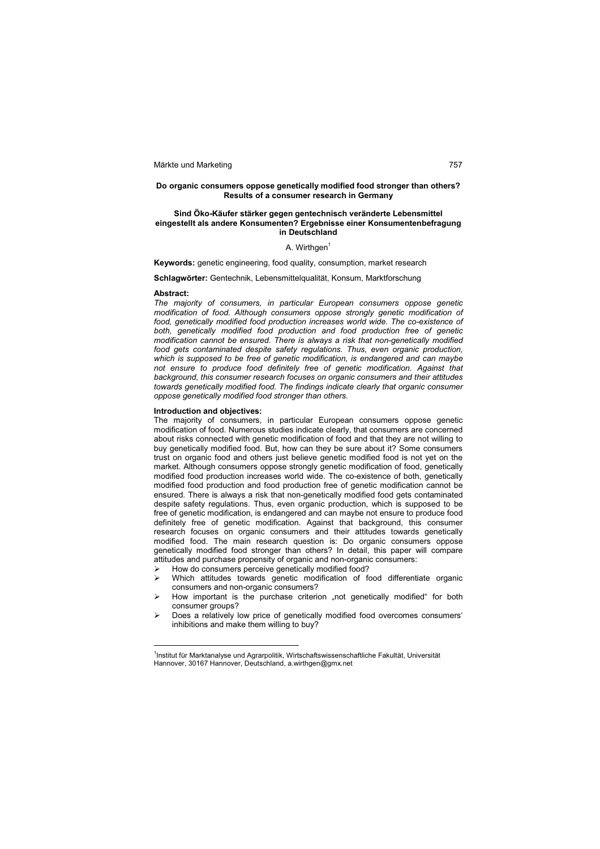### **Do organic consumers oppose genetically modified food stronger than others? Results of a consumer research in Germany**

### **Sind Öko-Käufer stärker gegen gentechnisch veränderte Lebensmittel eingestellt als andere Konsumenten? Ergebnisse einer Konsumentenbefragung in Deutschland**

### A. Wirthgen<sup>1</sup>

**Keywords:** genetic engineering, food quality, consumption, market research

**Schlagwörter:** Gentechnik, Lebensmittelqualität, Konsum, Marktforschung

### **Abstract:**

 $\overline{a}$ 

*The majority of consumers, in particular European consumers oppose genetic modification of food. Although consumers oppose strongly genetic modification of*  food, genetically modified food production increases world wide. The co-existence of *both, genetically modified food production and food production free of genetic modification cannot be ensured. There is always a risk that non-genetically modified food gets contaminated despite safety regulations. Thus, even organic production, which is supposed to be free of genetic modification, is endangered and can maybe not ensure to produce food definitely free of genetic modification. Against that background, this consumer research focuses on organic consumers and their attitudes towards genetically modified food. The findings indicate clearly that organic consumer oppose genetically modified food stronger than others.*

### **Introduction and objectives:**

The majority of consumers, in particular European consumers oppose genetic modification of food. Numerous studies indicate clearly, that consumers are concerned about risks connected with genetic modification of food and that they are not willing to buy genetically modified food. But, how can they be sure about it? Some consumers trust on organic food and others just believe genetic modified food is not yet on the market. Although consumers oppose strongly genetic modification of food, genetically modified food production increases world wide. The co-existence of both, genetically modified food production and food production free of genetic modification cannot be ensured. There is always a risk that non-genetically modified food gets contaminated despite safety regulations. Thus, even organic production, which is supposed to be free of genetic modification, is endangered and can maybe not ensure to produce food definitely free of genetic modification. Against that background, this consumer research focuses on organic consumers and their attitudes towards genetically modified food. The main research question is: Do organic consumers oppose genetically modified food stronger than others? In detail, this paper will compare attitudes and purchase propensity of organic and non-organic consumers:

- $\triangleright$  How do consumers perceive genetically modified food?<br> $\triangleright$  Which attitudes towards genetic modification of fo
- Which attitudes towards genetic modification of food differentiate organic consumers and non-organic consumers?
- How important is the purchase criterion "not genetically modified" for both consumer groups?
- Does a relatively low price of genetically modified food overcomes consumers' inhibitions and make them willing to buy?

<sup>&</sup>lt;sup>1</sup>Institut für Marktanalyse und Agrarpolitik, Wirtschaftswissenschaftliche Fakultät, Universität Hannover, 30167 Hannover, Deutschland, a.wirthgen@gmx.net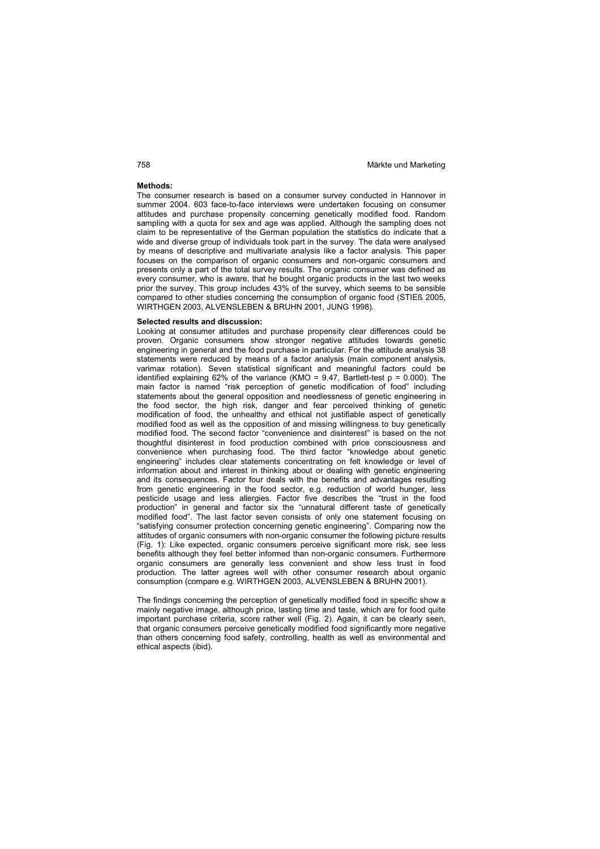### **Methods:**

The consumer research is based on a consumer survey conducted in Hannover in summer 2004. 603 face-to-face interviews were undertaken focusing on consumer attitudes and purchase propensity concerning genetically modified food. Random sampling with a quota for sex and age was applied. Although the sampling does not claim to be representative of the German population the statistics do indicate that a wide and diverse group of individuals took part in the survey. The data were analysed by means of descriptive and multivariate analysis like a factor analysis. This paper focuses on the comparison of organic consumers and non-organic consumers and presents only a part of the total survey results. The organic consumer was defined as every consumer, who is aware, that he bought organic products in the last two weeks prior the survey. This group includes 43% of the survey, which seems to be sensible compared to other studies concerning the consumption of organic food (STIEß 2005, WIRTHGEN 2003, ALVENSLEBEN & BRUHN 2001, JUNG 1998).

### **Selected results and discussion:**

Looking at consumer attitudes and purchase propensity clear differences could be proven. Organic consumers show stronger negative attitudes towards genetic engineering in general and the food purchase in particular. For the attitude analysis 38 statements were reduced by means of a factor analysis (main component analysis, varimax rotation). Seven statistical significant and meaningful factors could be identified explaining 62% of the variance (KMO =  $9.47$ , Bartlett-test p = 0.000). The main factor is named "risk perception of genetic modification of food" including statements about the general opposition and needlessness of genetic engineering in the food sector, the high risk, danger and fear perceived thinking of genetic modification of food, the unhealthy and ethical not justifiable aspect of genetically modified food as well as the opposition of and missing willingness to buy genetically modified food. The second factor "convenience and disinterest" is based on the not thoughtful disinterest in food production combined with price consciousness and convenience when purchasing food. The third factor "knowledge about genetic engineering" includes clear statements concentrating on felt knowledge or level of information about and interest in thinking about or dealing with genetic engineering and its consequences. Factor four deals with the benefits and advantages resulting from genetic engineering in the food sector, e.g. reduction of world hunger, less pesticide usage and less allergies. Factor five describes the "trust in the food production" in general and factor six the "unnatural different taste of genetically modified food". The last factor seven consists of only one statement focusing on "satisfying consumer protection concerning genetic engineering". Comparing now the attitudes of organic consumers with non-organic consumer the following picture results (Fig. 1): Like expected, organic consumers perceive significant more risk, see less benefits although they feel better informed than non-organic consumers. Furthermore organic consumers are generally less convenient and show less trust in food production. The latter agrees well with other consumer research about organic consumption (compare e.g. WIRTHGEN 2003, ALVENSLEBEN & BRUHN 2001).

The findings concerning the perception of genetically modified food in specific show a mainly negative image, although price, lasting time and taste, which are for food quite important purchase criteria, score rather well (Fig. 2). Again, it can be clearly seen, that organic consumers perceive genetically modified food significantly more negative than others concerning food safety, controlling, health as well as environmental and ethical aspects (ibid).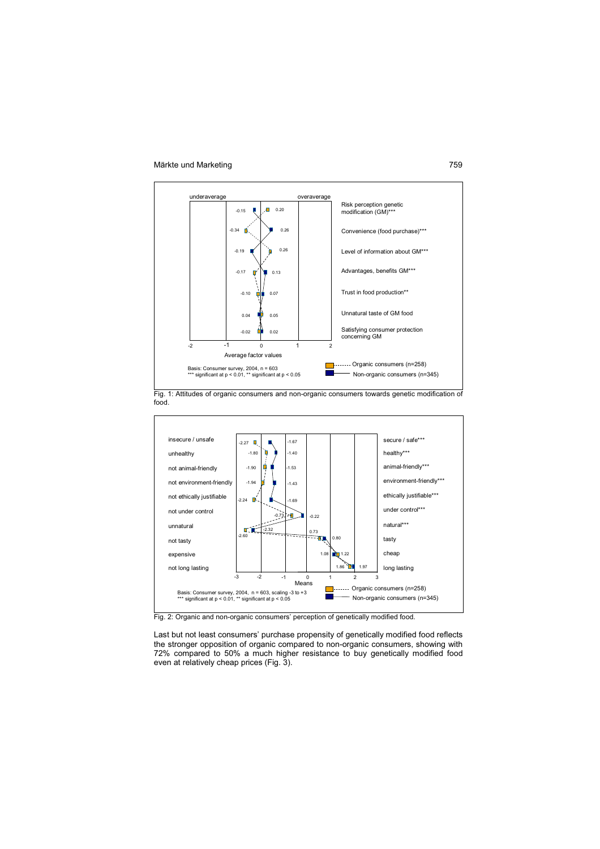

Fig. 1: Attitudes of organic consumers and non-organic consumers towards genetic modification of food.



Last but not least consumers' purchase propensity of genetically modified food reflects the stronger opposition of organic compared to non-organic consumers, showing with 72% compared to 50% a much higher resistance to buy genetically modified food even at relatively cheap prices (Fig. 3).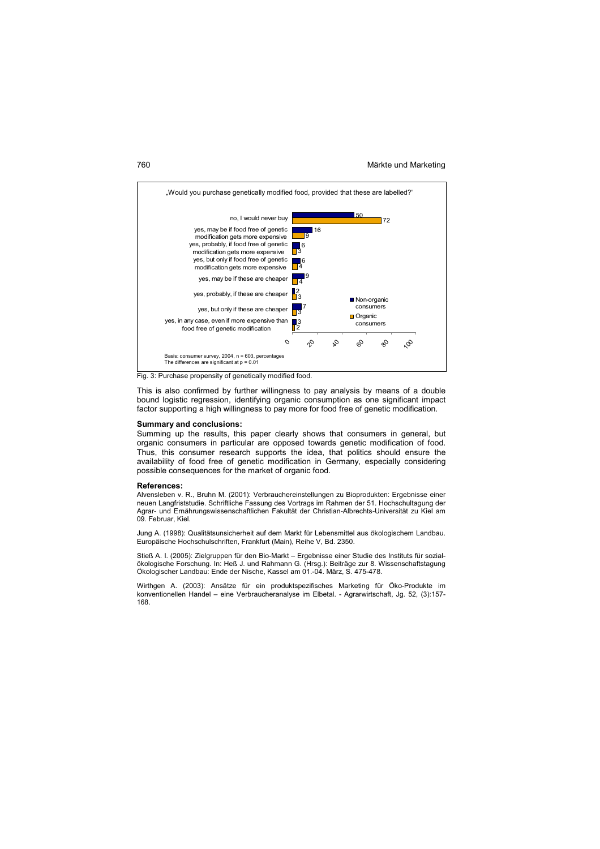

Fig. 3: Purchase propensity of genetically modified food.

This is also confirmed by further willingness to pay analysis by means of a double bound logistic regression, identifying organic consumption as one significant impact factor supporting a high willingness to pay more for food free of genetic modification.

### **Summary and conclusions:**

Summing up the results, this paper clearly shows that consumers in general, but organic consumers in particular are opposed towards genetic modification of food. Thus, this consumer research supports the idea, that politics should ensure the availability of food free of genetic modification in Germany, especially considering possible consequences for the market of organic food.

### **References:**

Alvensleben v. R., Bruhn M. (2001): Verbrauchereinstellungen zu Bioprodukten: Ergebnisse einer neuen Langfriststudie. Schriftliche Fassung des Vortrags im Rahmen der 51. Hochschultagung der Agrar- und Ernährungswissenschaftlichen Fakultät der Christian-Albrechts-Universität zu Kiel am 09. Februar, Kiel.

Jung A. (1998): Qualitätsunsicherheit auf dem Markt für Lebensmittel aus ökologischem Landbau. Europäische Hochschulschriften, Frankfurt (Main), Reihe V, Bd. 2350.

Stieß A. I. (2005): Zielgruppen für den Bio-Markt – Ergebnisse einer Studie des Instituts für sozialökologische Forschung. In: Heß J. und Rahmann G. (Hrsg.): Beiträge zur 8. Wissenschaftstagung Ökologischer Landbau: Ende der Nische, Kassel am 01.-04. März, S. 475-478.

Wirthgen A. (2003): Ansätze für ein produktspezifisches Marketing für Öko-Produkte im konventionellen Handel – eine Verbraucheranalyse im Elbetal. - Agrarwirtschaft, Jg. 52, (3):157- 168.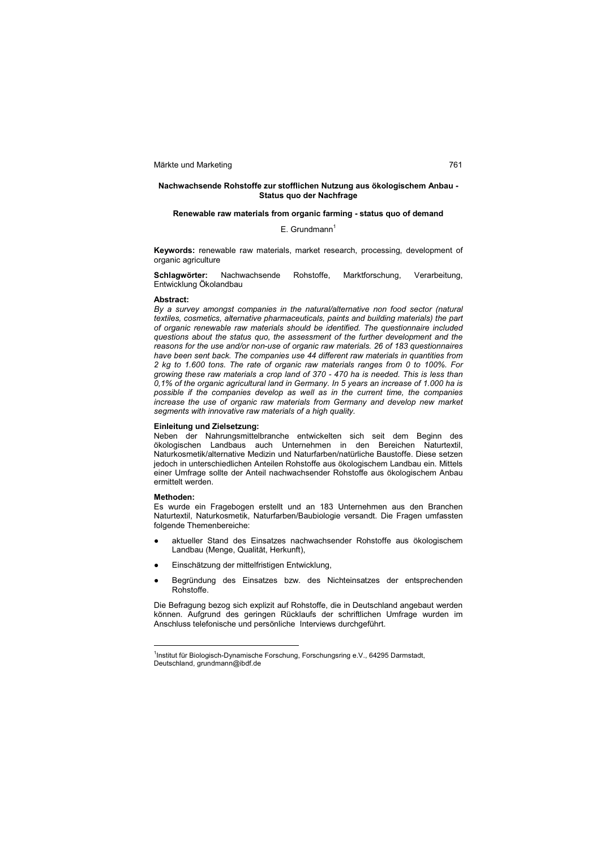### **Nachwachsende Rohstoffe zur stofflichen Nutzung aus ökologischem Anbau - Status quo der Nachfrage**

### **Renewable raw materials from organic farming - status quo of demand**

 $E.$  Grundmann<sup>1</sup>

**Keywords:** renewable raw materials, market research, processing, development of organic agriculture

**Schlagwörter:** Nachwachsende Rohstoffe, Marktforschung, Verarbeitung, Entwicklung Ökolandbau

### **Abstract:**

*By a survey amongst companies in the natural/alternative non food sector (natural textiles, cosmetics, alternative pharmaceuticals, paints and building materials) the part of organic renewable raw materials should be identified. The questionnaire included questions about the status quo, the assessment of the further development and the reasons for the use and/or non-use of organic raw materials. 26 of 183 questionnaires have been sent back. The companies use 44 different raw materials in quantities from 2 kg to 1.600 tons. The rate of organic raw materials ranges from 0 to 100%. For growing these raw materials a crop land of 370 - 470 ha is needed. This is less than 0,1% of the organic agricultural land in Germany. In 5 years an increase of 1.000 ha is possible if the companies develop as well as in the current time, the companies increase the use of organic raw materials from Germany and develop new market segments with innovative raw materials of a high quality.* 

### **Einleitung und Zielsetzung:**

Neben der Nahrungsmittelbranche entwickelten sich seit dem Beginn des ökologischen Landbaus auch Unternehmen in den Bereichen Naturtextil, Naturkosmetik/alternative Medizin und Naturfarben/natürliche Baustoffe. Diese setzen jedoch in unterschiedlichen Anteilen Rohstoffe aus ökologischem Landbau ein. Mittels einer Umfrage sollte der Anteil nachwachsender Rohstoffe aus ökologischem Anbau ermittelt werden.

### **Methoden:**

 $\overline{a}$ 

Es wurde ein Fragebogen erstellt und an 183 Unternehmen aus den Branchen Naturtextil, Naturkosmetik, Naturfarben/Baubiologie versandt. Die Fragen umfassten folgende Themenbereiche:

- aktueller Stand des Einsatzes nachwachsender Rohstoffe aus ökologischem Landbau (Menge, Qualität, Herkunft),
- Einschätzung der mittelfristigen Entwicklung,
- Begründung des Einsatzes bzw. des Nichteinsatzes der entsprechenden Rohstoffe.

Die Befragung bezog sich explizit auf Rohstoffe, die in Deutschland angebaut werden können. Aufgrund des geringen Rücklaufs der schriftlichen Umfrage wurden im Anschluss telefonische und persönliche Interviews durchgeführt.

<sup>&</sup>lt;sup>1</sup>Institut für Biologisch-Dynamische Forschung, Forschungsring e.V., 64295 Darmstadt, Deutschland, grundmann@ibdf.de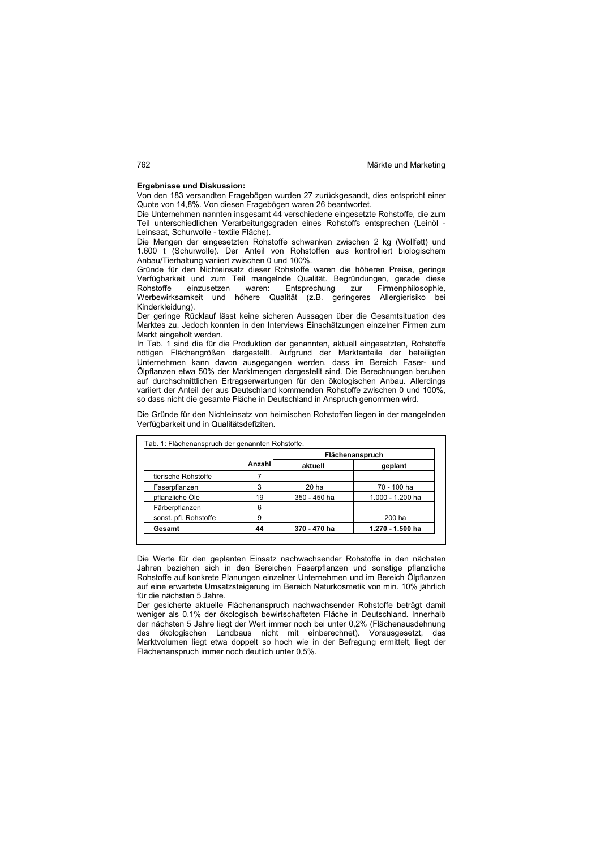### **Ergebnisse und Diskussion:**

Von den 183 versandten Fragebögen wurden 27 zurückgesandt, dies entspricht einer Quote von 14,8%. Von diesen Fragebögen waren 26 beantwortet.

Die Unternehmen nannten insgesamt 44 verschiedene eingesetzte Rohstoffe, die zum Teil unterschiedlichen Verarbeitungsgraden eines Rohstoffs entsprechen (Leinöl - Leinsaat, Schurwolle - textile Fläche).

Die Mengen der eingesetzten Rohstoffe schwanken zwischen 2 kg (Wollfett) und 1.600 t (Schurwolle). Der Anteil von Rohstoffen aus kontrolliert biologischem Anbau/Tierhaltung variiert zwischen 0 und 100%.

Gründe für den Nichteinsatz dieser Rohstoffe waren die höheren Preise, geringe Verfügbarkeit und zum Teil mangelnde Qualität. Begründungen, gerade diese Rohstoffe einzusetzen waren: Entsprechung zur Firmenphilosophie, Werbewirksamkeit und höhere Qualität (z.B. geringeres Allergierisiko bei Kinderkleidung).

Der geringe Rücklauf lässt keine sicheren Aussagen über die Gesamtsituation des Marktes zu. Jedoch konnten in den Interviews Einschätzungen einzelner Firmen zum Markt eingeholt werden.

In Tab. 1 sind die für die Produktion der genannten, aktuell eingesetzten, Rohstoffe nötigen Flächengrößen dargestellt. Aufgrund der Marktanteile der beteiligten Unternehmen kann davon ausgegangen werden, dass im Bereich Faser- und Ölpflanzen etwa 50% der Marktmengen dargestellt sind. Die Berechnungen beruhen auf durchschnittlichen Ertragserwartungen für den ökologischen Anbau. Allerdings variiert der Anteil der aus Deutschland kommenden Rohstoffe zwischen 0 und 100%, so dass nicht die gesamte Fläche in Deutschland in Anspruch genommen wird.

Die Gründe für den Nichteinsatz von heimischen Rohstoffen liegen in der mangelnden Verfügbarkeit und in Qualitätsdefiziten.

|                       |        | Flächenanspruch  |                  |  |
|-----------------------|--------|------------------|------------------|--|
|                       | Anzahl | aktuell          | geplant          |  |
| tierische Rohstoffe   |        |                  |                  |  |
| Faserpflanzen         | 3      | 20 <sub>ha</sub> | 70 - 100 ha      |  |
| pflanzliche Öle       | 19     | 350 - 450 ha     | 1.000 - 1.200 ha |  |
| Färberpflanzen        | 6      |                  |                  |  |
| sonst. pfl. Rohstoffe | 9      |                  | 200 ha           |  |
| Gesamt                | 44     | 370 - 470 ha     | 1.270 - 1.500 ha |  |

Die Werte für den geplanten Einsatz nachwachsender Rohstoffe in den nächsten Jahren beziehen sich in den Bereichen Faserpflanzen und sonstige pflanzliche Rohstoffe auf konkrete Planungen einzelner Unternehmen und im Bereich Ölpflanzen

auf eine erwartete Umsatzsteigerung im Bereich Naturkosmetik von min. 10% jährlich für die nächsten 5 Jahre. Der gesicherte aktuelle Flächenanspruch nachwachsender Rohstoffe beträgt damit

weniger als 0,1% der ökologisch bewirtschafteten Fläche in Deutschland. Innerhalb der nächsten 5 Jahre liegt der Wert immer noch bei unter 0,2% (Flächenausdehnung des ökologischen Landbaus nicht mit einberechnet). Vorausgesetzt, das Marktvolumen liegt etwa doppelt so hoch wie in der Befragung ermittelt, liegt der Flächenanspruch immer noch deutlich unter 0,5%.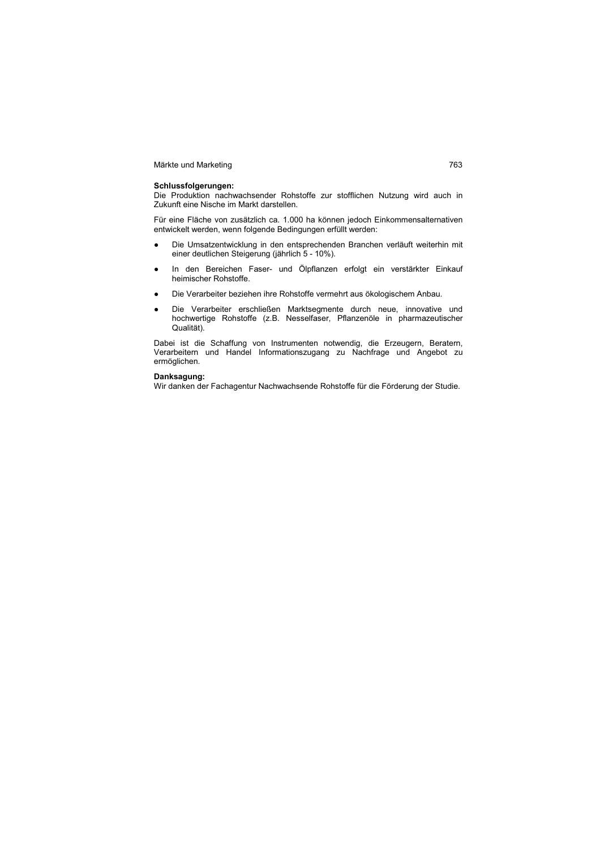### **Schlussfolgerungen:**

Die Produktion nachwachsender Rohstoffe zur stofflichen Nutzung wird auch in Zukunft eine Nische im Markt darstellen.

Für eine Fläche von zusätzlich ca. 1.000 ha können jedoch Einkommensalternativen entwickelt werden, wenn folgende Bedingungen erfüllt werden:

- Die Umsatzentwicklung in den entsprechenden Branchen verläuft weiterhin mit einer deutlichen Steigerung (jährlich 5 - 10%).
- In den Bereichen Faser- und Ölpflanzen erfolgt ein verstärkter Einkauf heimischer Rohstoffe.
- Die Verarbeiter beziehen ihre Rohstoffe vermehrt aus ökologischem Anbau.
- Die Verarbeiter erschließen Marktsegmente durch neue, innovative und hochwertige Rohstoffe (z.B. Nesselfaser, Pflanzenöle in pharmazeutischer Qualität).

Dabei ist die Schaffung von Instrumenten notwendig, die Erzeugern, Beratern, Verarbeitern und Handel Informationszugang zu Nachfrage und Angebot zu ermöglichen.

### **Danksagung:**

Wir danken der Fachagentur Nachwachsende Rohstoffe für die Förderung der Studie.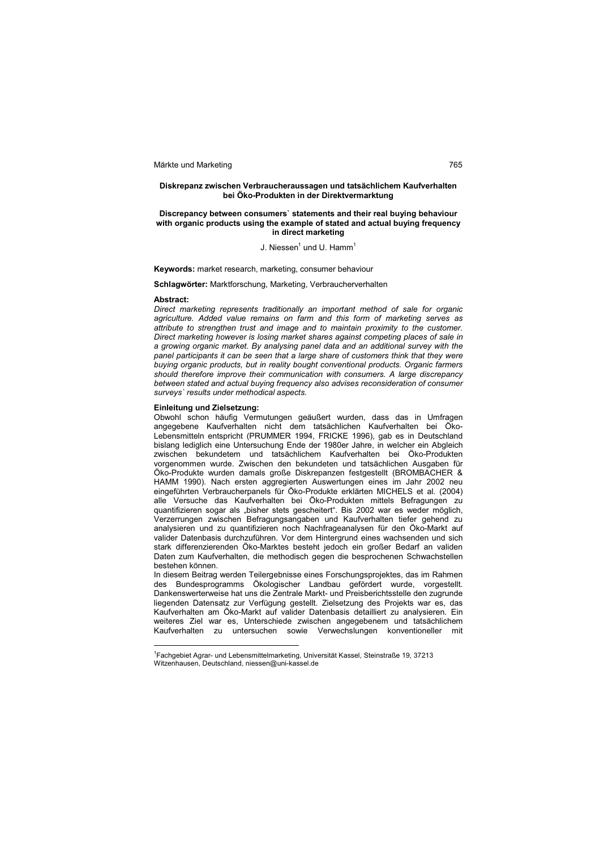### **Diskrepanz zwischen Verbraucheraussagen und tatsächlichem Kaufverhalten bei Öko-Produkten in der Direktvermarktung**

### **Discrepancy between consumers` statements and their real buying behaviour with organic products using the example of stated and actual buying frequency in direct marketing**

### J. Niessen $^1$  und U. Hamm $^1$

**Keywords:** market research, marketing, consumer behaviour

**Schlagwörter:** Marktforschung, Marketing, Verbraucherverhalten

### **Abstract:**

 $\overline{a}$ 

*Direct marketing represents traditionally an important method of sale for organic agriculture. Added value remains on farm and this form of marketing serves as attribute to strengthen trust and image and to maintain proximity to the customer. Direct marketing however is losing market shares against competing places of sale in a growing organic market. By analysing panel data and an additional survey with the panel participants it can be seen that a large share of customers think that they were buying organic products, but in reality bought conventional products. Organic farmers should therefore improve their communication with consumers. A large discrepancy*  between stated and actual buying frequency also advises reconsideration of consumer *surveys` results under methodical aspects.* 

### **Einleitung und Zielsetzung:**

Obwohl schon häufig Vermutungen geäußert wurden, dass das in Umfragen angegebene Kaufverhalten nicht dem tatsächlichen Kaufverhalten bei Öko-Lebensmitteln entspricht (PRUMMER 1994, FRICKE 1996), gab es in Deutschland bislang lediglich eine Untersuchung Ende der 1980er Jahre, in welcher ein Abgleich zwischen bekundetem und tatsächlichem Kaufverhalten bei Öko-Produkten vorgenommen wurde. Zwischen den bekundeten und tatsächlichen Ausgaben für Öko-Produkte wurden damals große Diskrepanzen festgestellt (BROMBACHER & HAMM 1990). Nach ersten aggregierten Auswertungen eines im Jahr 2002 neu eingeführten Verbraucherpanels für Öko-Produkte erklärten MICHELS et al. (2004) alle Versuche das Kaufverhalten bei Öko-Produkten mittels Befragungen zu quantifizieren sogar als "bisher stets gescheitert". Bis 2002 war es weder möglich, Verzerrungen zwischen Befragungsangaben und Kaufverhalten tiefer gehend zu analysieren und zu quantifizieren noch Nachfrageanalysen für den Öko-Markt auf valider Datenbasis durchzuführen. Vor dem Hintergrund eines wachsenden und sich stark differenzierenden Öko-Marktes besteht jedoch ein großer Bedarf an validen Daten zum Kaufverhalten, die methodisch gegen die besprochenen Schwachstellen bestehen können.

In diesem Beitrag werden Teilergebnisse eines Forschungsprojektes, das im Rahmen des Bundesprogramms Ökologischer Landbau gefördert wurde, vorgestellt. Dankenswerterweise hat uns die Zentrale Markt- und Preisberichtsstelle den zugrunde liegenden Datensatz zur Verfügung gestellt. Zielsetzung des Projekts war es, das Kaufverhalten am Öko-Markt auf valider Datenbasis detailliert zu analysieren. Ein weiteres Ziel war es, Unterschiede zwischen angegebenem und tatsächlichem Kaufverhalten zu untersuchen sowie Verwechslungen konventioneller mit

<sup>1</sup> Fachgebiet Agrar- und Lebensmittelmarketing, Universität Kassel, Steinstraße 19, 37213 Witzenhausen, Deutschland, niessen@uni-kassel.de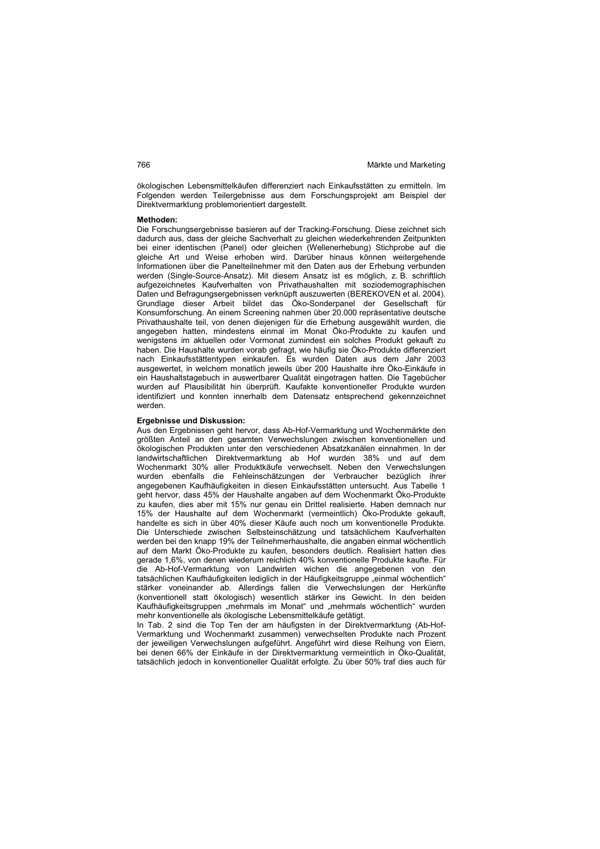ökologischen Lebensmittelkäufen differenziert nach Einkaufsstätten zu ermitteln. Im Folgenden werden Teilergebnisse aus dem Forschungsprojekt am Beispiel der Direktvermarktung problemorientiert dargestellt.

### **Methoden:**

Die Forschungsergebnisse basieren auf der Tracking-Forschung. Diese zeichnet sich dadurch aus, dass der gleiche Sachverhalt zu gleichen wiederkehrenden Zeitpunkten bei einer identischen (Panel) oder gleichen (Wellenerhebung) Stichprobe auf die gleiche Art und Weise erhoben wird. Darüber hinaus können weitergehende Informationen über die Panelteilnehmer mit den Daten aus der Erhebung verbunden werden (Single-Source-Ansatz). Mit diesem Ansatz ist es möglich, z. B. schriftlich aufgezeichnetes Kaufverhalten von Privathaushalten mit soziodemographischen Daten und Befragungsergebnissen verknüpft auszuwerten (BEREKOVEN et al. 2004). Grundlage dieser Arbeit bildet das Öko-Sonderpanel der Gesellschaft für Konsumforschung. An einem Screening nahmen über 20.000 repräsentative deutsche Privathaushalte teil, von denen diejenigen für die Erhebung ausgewählt wurden, die angegeben hatten, mindestens einmal im Monat Öko-Produkte zu kaufen und wenigstens im aktuellen oder Vormonat zumindest ein solches Produkt gekauft zu haben. Die Haushalte wurden vorab gefragt, wie häufig sie Öko-Produkte differenziert nach Einkaufsstättentypen einkaufen. Es wurden Daten aus dem Jahr 2003 ausgewertet, in welchem monatlich jeweils über 200 Haushalte ihre Öko-Einkäufe in ein Haushaltstagebuch in auswertbarer Qualität eingetragen hatten. Die Tagebücher wurden auf Plausibilität hin überprüft. Kaufakte konventioneller Produkte wurden identifiziert und konnten innerhalb dem Datensatz entsprechend gekennzeichnet werden.

### **Ergebnisse und Diskussion:**

Aus den Ergebnissen geht hervor, dass Ab-Hof-Vermarktung und Wochenmärkte den größten Anteil an den gesamten Verwechslungen zwischen konventionellen und ökologischen Produkten unter den verschiedenen Absatzkanälen einnahmen. In der landwirtschaftlichen Direktvermarktung ab Hof wurden 38% und auf dem Wochenmarkt 30% aller Produktkäufe verwechselt. Neben den Verwechslungen wurden ebenfalls die Fehleinschätzungen der Verbraucher bezüglich ihrer angegebenen Kaufhäufigkeiten in diesen Einkaufsstätten untersucht. Aus Tabelle 1 geht hervor, dass 45% der Haushalte angaben auf dem Wochenmarkt Öko-Produkte zu kaufen, dies aber mit 15% nur genau ein Drittel realisierte. Haben demnach nur 15% der Haushalte auf dem Wochenmarkt (vermeintlich) Öko-Produkte gekauft, handelte es sich in über 40% dieser Käufe auch noch um konventionelle Produkte. Die Unterschiede zwischen Selbsteinschätzung und tatsächlichem Kaufverhalten werden bei den knapp 19% der Teilnehmerhaushalte, die angaben einmal wöchentlich auf dem Markt Öko-Produkte zu kaufen, besonders deutlich. Realisiert hatten dies gerade 1,6%, von denen wiederum reichlich 40% konventionelle Produkte kaufte. Für die Ab-Hof-Vermarktung von Landwirten wichen die angegebenen von den tatsächlichen Kaufhäufigkeiten lediglich in der Häufigkeitsgruppe "einmal wöchentlich" stärker voneinander ab. Allerdings fallen die Verwechslungen der Herkünfte (konventionell statt ökologisch) wesentlich stärker ins Gewicht. In den beiden Kaufhäufigkeitsgruppen "mehrmals im Monat" und "mehrmals wöchentlich" wurden mehr konventionelle als ökologische Lebensmittelkäufe getätigt.

In Tab. 2 sind die Top Ten der am häufigsten in der Direktvermarktung (Ab-Hof-Vermarktung und Wochenmarkt zusammen) verwechselten Produkte nach Prozent der jeweiligen Verwechslungen aufgeführt. Angeführt wird diese Reihung von Eiern, bei denen 66% der Einkäufe in der Direktvermarktung vermeintlich in Öko-Qualität, tatsächlich jedoch in konventioneller Qualität erfolgte. Zu über 50% traf dies auch für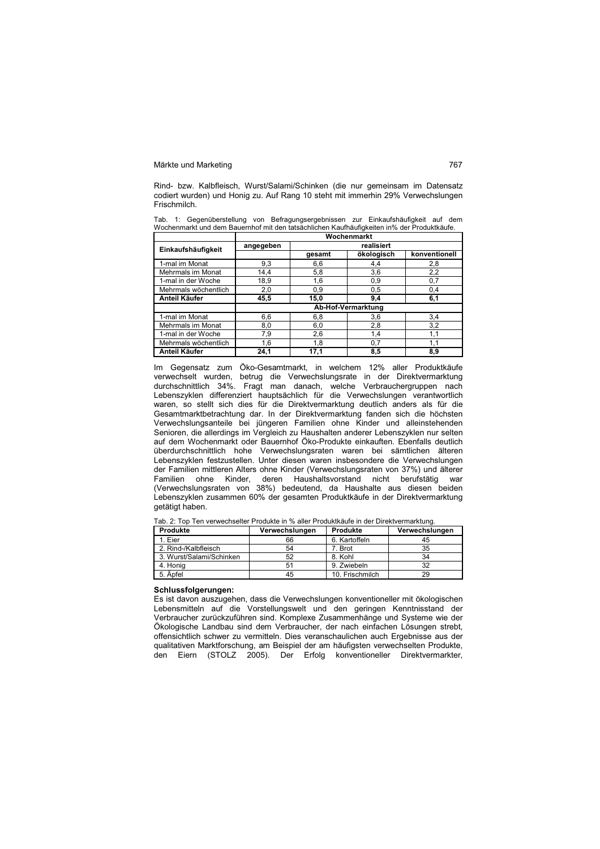Rind- bzw. Kalbfleisch, Wurst/Salami/Schinken (die nur gemeinsam im Datensatz codiert wurden) und Honig zu. Auf Rang 10 steht mit immerhin 29% Verwechslungen Frischmilch.

Tab. 1: Gegenüberstellung von Befragungsergebnissen zur Einkaufshäufigkeit auf dem Wochenmarkt und dem Bauernhof mit den tatsächlichen Kaufhäufigkeiten in% der Produktkäufe. **Wochenmarkt** 

|                      | wocnemmarkt        |        |            |               |  |
|----------------------|--------------------|--------|------------|---------------|--|
| Einkaufshäufigkeit   | angegeben          |        | realisiert |               |  |
|                      |                    | gesamt | ökologisch | konventionell |  |
| 1-mal im Monat       | 9,3                | 6.6    | 4.4        | 2,8           |  |
| Mehrmals im Monat    | 14,4               | 5,8    | 3,6        | 2,2           |  |
| 1-mal in der Woche   | 18,9               | 1,6    | 0,9        | 0,7           |  |
| Mehrmals wöchentlich | 2,0                | 0,9    | 0,5        | 0,4           |  |
| <b>Anteil Käufer</b> | 45,5               | 15,0   | 9.4        | 6,1           |  |
|                      | Ab-Hof-Vermarktung |        |            |               |  |
| 1-mal im Monat       | 6,6                | 6,8    | 3,6        | 3,4           |  |
| Mehrmals im Monat    | 8,0                | 6,0    | 2,8        | 3,2           |  |
| 1-mal in der Woche   | 7,9                | 2,6    | 1,4        | 1,1           |  |
| Mehrmals wöchentlich | 1,6                | 1,8    | 0,7        | 1,1           |  |
| <b>Anteil Käufer</b> | 24,1               | 17,1   | 8,5        | 8,9           |  |

Im Gegensatz zum Öko-Gesamtmarkt, in welchem 12% aller Produktkäufe verwechselt wurden, betrug die Verwechslungsrate in der Direktvermarktung durchschnittlich 34%. Fragt man danach, welche Verbrauchergruppen nach Lebenszyklen differenziert hauptsächlich für die Verwechslungen verantwortlich waren, so stellt sich dies für die Direktvermarktung deutlich anders als für die Gesamtmarktbetrachtung dar. In der Direktvermarktung fanden sich die höchsten Verwechslungsanteile bei jüngeren Familien ohne Kinder und alleinstehenden Senioren, die allerdings im Vergleich zu Haushalten anderer Lebenszyklen nur selten auf dem Wochenmarkt oder Bauernhof Öko-Produkte einkauften. Ebenfalls deutlich überdurchschnittlich hohe Verwechslungsraten waren bei sämtlichen älteren Lebenszyklen festzustellen. Unter diesen waren insbesondere die Verwechslungen der Familien mittleren Alters ohne Kinder (Verwechslungsraten von 37%) und älterer Familien ohne Kinder, deren Haushaltsvorstand nicht berufstätig war (Verwechslungsraten von 38%) bedeutend, da Haushalte aus diesen beiden Lebenszyklen zusammen 60% der gesamten Produktkäufe in der Direktvermarktung getätigt haben.

Tab. 2: Top Ten verwechselter Produkte in % aller Produktkäufe in der Direktvermarktung.

| Verwechslungen | Produkte        | Verwechslungen |
|----------------|-----------------|----------------|
| 66             | 6. Kartoffeln   | 45             |
| 54             | 7. Brot         | 35             |
| 52             | 8. Kohl         | 34             |
| 51             | 9. Zwiebeln     | 32             |
| 45             | 10. Frischmilch | 29             |
|                |                 |                |

### **Schlussfolgerungen:**

Es ist davon auszugehen, dass die Verwechslungen konventioneller mit ökologischen Lebensmitteln auf die Vorstellungswelt und den geringen Kenntnisstand der Verbraucher zurückzuführen sind. Komplexe Zusammenhänge und Systeme wie der Ökologische Landbau sind dem Verbraucher, der nach einfachen Lösungen strebt, offensichtlich schwer zu vermitteln. Dies veranschaulichen auch Ergebnisse aus der qualitativen Marktforschung, am Beispiel der am häufigsten verwechselten Produkte, den Eiern (STOLZ 2005). Der Erfolg konventioneller Direktvermarkter,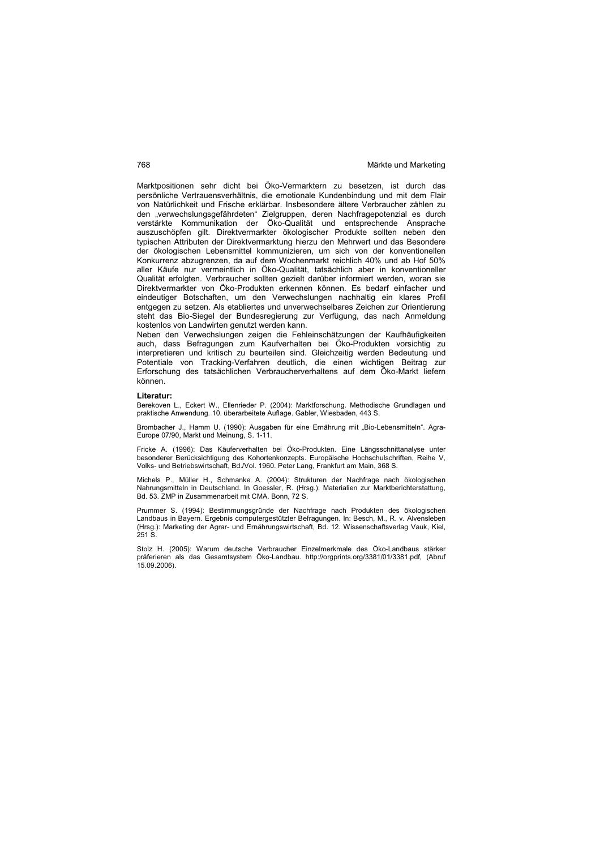Marktpositionen sehr dicht bei Öko-Vermarktern zu besetzen, ist durch das persönliche Vertrauensverhältnis, die emotionale Kundenbindung und mit dem Flair von Natürlichkeit und Frische erklärbar. Insbesondere ältere Verbraucher zählen zu den "verwechslungsgefährdeten" Zielgruppen, deren Nachfragepotenzial es durch verstärkte Kommunikation der Öko-Qualität und entsprechende Ansprache auszuschöpfen gilt. Direktvermarkter ökologischer Produkte sollten neben den typischen Attributen der Direktvermarktung hierzu den Mehrwert und das Besondere der ökologischen Lebensmittel kommunizieren, um sich von der konventionellen Konkurrenz abzugrenzen, da auf dem Wochenmarkt reichlich 40% und ab Hof 50% aller Käufe nur vermeintlich in Öko-Qualität, tatsächlich aber in konventioneller Qualität erfolgten. Verbraucher sollten gezielt darüber informiert werden, woran sie Direktvermarkter von Öko-Produkten erkennen können. Es bedarf einfacher und eindeutiger Botschaften, um den Verwechslungen nachhaltig ein klares Profil entgegen zu setzen. Als etabliertes und unverwechselbares Zeichen zur Orientierung steht das Bio-Siegel der Bundesregierung zur Verfügung, das nach Anmeldung kostenlos von Landwirten genutzt werden kann.

Neben den Verwechslungen zeigen die Fehleinschätzungen der Kaufhäufigkeiten auch, dass Befragungen zum Kaufverhalten bei Öko-Produkten vorsichtig zu interpretieren und kritisch zu beurteilen sind. Gleichzeitig werden Bedeutung und Potentiale von Tracking-Verfahren deutlich, die einen wichtigen Beitrag zur Erforschung des tatsächlichen Verbraucherverhaltens auf dem Öko-Markt liefern können.

### **Literatur:**

Berekoven L., Eckert W., Ellenrieder P. (2004): Marktforschung. Methodische Grundlagen und praktische Anwendung. 10. überarbeitete Auflage. Gabler, Wiesbaden, 443 S.

Brombacher J., Hamm U. (1990): Ausgaben für eine Ernährung mit "Bio-Lebensmitteln". Agra-Europe 07/90, Markt und Meinung, S. 1-11.

Fricke A. (1996): Das Käuferverhalten bei Öko-Produkten. Eine Längsschnittanalyse unter besonderer Berücksichtigung des Kohortenkonzepts. Europäische Hochschulschriften, Reihe V, Volks- und Betriebswirtschaft, Bd./Vol. 1960. Peter Lang, Frankfurt am Main, 368 S.

Michels P., Müller H., Schmanke A. (2004): Strukturen der Nachfrage nach ökologischen Nahrungsmitteln in Deutschland. In Goessler, R. (Hrsg.): Materialien zur Marktberichterstattung, Bd. 53. ZMP in Zusammenarbeit mit CMA. Bonn, 72 S.

Prummer S. (1994): Bestimmungsgründe der Nachfrage nach Produkten des ökologischen Landbaus in Bayern. Ergebnis computergestützter Befragungen. In: Besch, M., R. v. Alvensleben (Hrsg.): Marketing der Agrar- und Ernährungswirtschaft, Bd. 12. Wissenschaftsverlag Vauk, Kiel, 251 S.

Stolz H. (2005): Warum deutsche Verbraucher Einzelmerkmale des Öko-Landbaus stärker präferieren als das Gesamtsystem Öko-Landbau. http://orgprints.org/3381/01/3381.pdf, (Abruf 15.09.2006).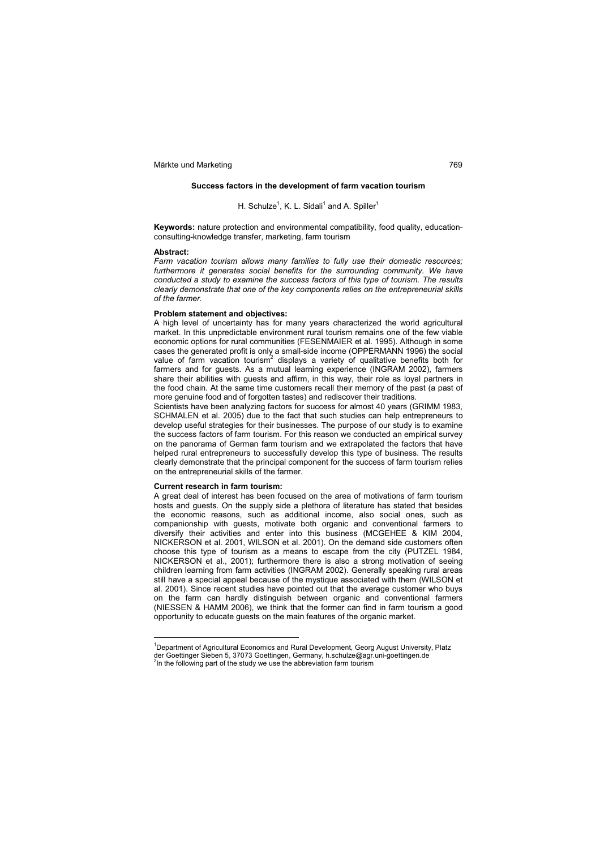### **Success factors in the development of farm vacation tourism**

### H. Schulze<sup>1</sup>, K. L. Sidali<sup>1</sup> and A. Spiller<sup>1</sup>

**Keywords:** nature protection and environmental compatibility, food quality, educationconsulting-knowledge transfer, marketing, farm tourism

### **Abstract:**

*Farm vacation tourism allows many families to fully use their domestic resources;*  furthermore it generates social benefits for the surrounding community. We have *conducted a study to examine the success factors of this type of tourism. The results clearly demonstrate that one of the key components relies on the entrepreneurial skills of the farmer.* 

### **Problem statement and objectives:**

A high level of uncertainty has for many years characterized the world agricultural market. In this unpredictable environment rural tourism remains one of the few viable economic options for rural communities (FESENMAIER et al. 1995). Although in some cases the generated profit is only a small-side income (OPPERMANN 1996) the social value of farm vacation tourism<sup>2</sup> displays a variety of qualitative benefits both for farmers and for guests. As a mutual learning experience (INGRAM 2002), farmers share their abilities with guests and affirm, in this way, their role as loyal partners in the food chain. At the same time customers recall their memory of the past (a past of more genuine food and of forgotten tastes) and rediscover their traditions.

Scientists have been analyzing factors for success for almost 40 years (GRIMM 1983, SCHMALEN et al. 2005) due to the fact that such studies can help entrepreneurs to develop useful strategies for their businesses. The purpose of our study is to examine the success factors of farm tourism. For this reason we conducted an empirical survey on the panorama of German farm tourism and we extrapolated the factors that have helped rural entrepreneurs to successfully develop this type of business. The results clearly demonstrate that the principal component for the success of farm tourism relies on the entrepreneurial skills of the farmer.

### **Current research in farm tourism:**

 $\overline{a}$ 

A great deal of interest has been focused on the area of motivations of farm tourism hosts and guests. On the supply side a plethora of literature has stated that besides the economic reasons, such as additional income, also social ones, such as companionship with guests, motivate both organic and conventional farmers to diversify their activities and enter into this business (MCGEHEE & KIM 2004, NICKERSON et al. 2001, WILSON et al. 2001). On the demand side customers often choose this type of tourism as a means to escape from the city (PUTZEL 1984, NICKERSON et al., 2001); furthermore there is also a strong motivation of seeing children learning from farm activities (INGRAM 2002). Generally speaking rural areas still have a special appeal because of the mystique associated with them (WILSON et al. 2001). Since recent studies have pointed out that the average customer who buys on the farm can hardly distinguish between organic and conventional farmers (NIESSEN & HAMM 2006), we think that the former can find in farm tourism a good opportunity to educate guests on the main features of the organic market.

<sup>&</sup>lt;sup>1</sup>Department of Agricultural Economics and Rural Development, Georg August University, Platz der Goettinger Sieben 5, 37073 Goettingen, Germany, h.schulze@agr.uni-goettingen.de  $2$ In the following part of the study we use the abbreviation farm tourism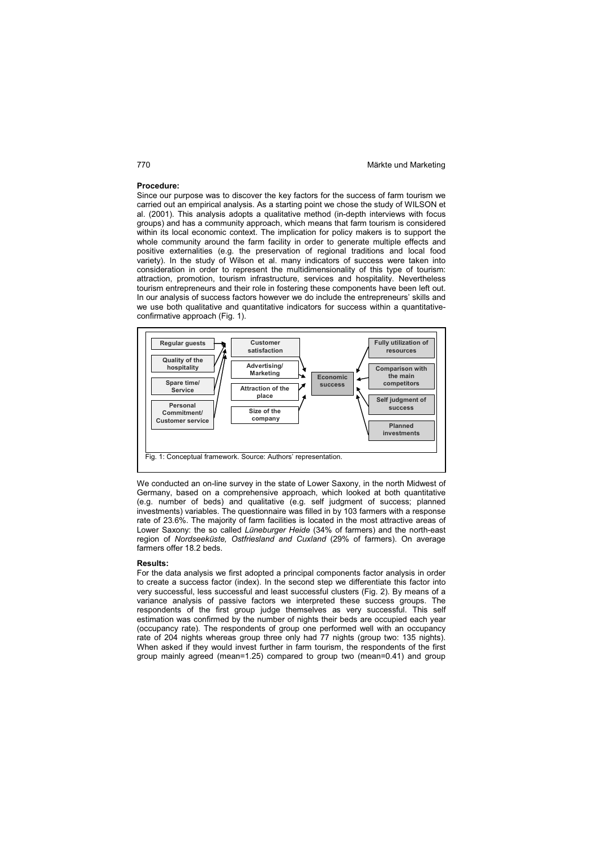### **Procedure:**

Since our purpose was to discover the key factors for the success of farm tourism we carried out an empirical analysis. As a starting point we chose the study of WILSON et al. (2001). This analysis adopts a qualitative method (in-depth interviews with focus groups) and has a community approach, which means that farm tourism is considered within its local economic context. The implication for policy makers is to support the whole community around the farm facility in order to generate multiple effects and positive externalities (e.g. the preservation of regional traditions and local food variety). In the study of Wilson et al. many indicators of success were taken into consideration in order to represent the multidimensionality of this type of tourism: attraction, promotion, tourism infrastructure, services and hospitality. Nevertheless tourism entrepreneurs and their role in fostering these components have been left out. In our analysis of success factors however we do include the entrepreneurs' skills and we use both qualitative and quantitative indicators for success within a quantitativeconfirmative approach (Fig. 1).



We conducted an on-line survey in the state of Lower Saxony, in the north Midwest of Germany, based on a comprehensive approach, which looked at both quantitative (e.g. number of beds) and qualitative (e.g. self judgment of success; planned investments) variables. The questionnaire was filled in by 103 farmers with a response rate of 23.6%. The majority of farm facilities is located in the most attractive areas of Lower Saxony: the so called *Lüneburger Heide* (34% of farmers) and the north-east region of *Nordseeküste, Ostfriesland and Cuxland* (29% of farmers). On average farmers offer 18.2 beds.

### **Results:**

For the data analysis we first adopted a principal components factor analysis in order to create a success factor (index). In the second step we differentiate this factor into very successful, less successful and least successful clusters (Fig. 2). By means of a variance analysis of passive factors we interpreted these success groups. The respondents of the first group judge themselves as very successful. This self estimation was confirmed by the number of nights their beds are occupied each year (occupancy rate). The respondents of group one performed well with an occupancy rate of 204 nights whereas group three only had 77 nights (group two: 135 nights). When asked if they would invest further in farm tourism, the respondents of the first group mainly agreed (mean=1.25) compared to group two (mean=0.41) and group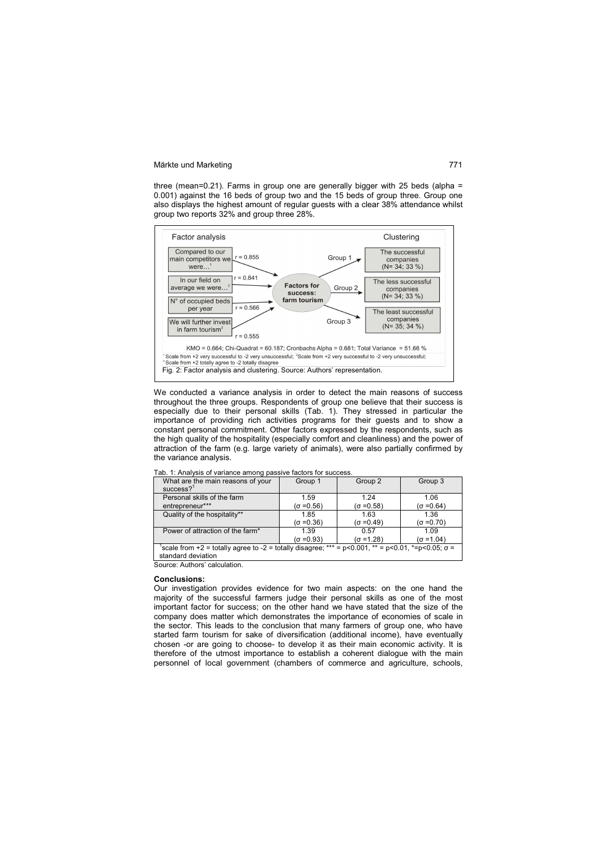three (mean=0.21). Farms in group one are generally bigger with 25 beds (alpha = 0.001) against the 16 beds of group two and the 15 beds of group three. Group one also displays the highest amount of regular guests with a clear 38% attendance whilst group two reports 32% and group three 28%.



We conducted a variance analysis in order to detect the main reasons of success throughout the three groups. Respondents of group one believe that their success is especially due to their personal skills (Tab. 1). They stressed in particular the importance of providing rich activities programs for their guests and to show a constant personal commitment. Other factors expressed by the respondents, such as the high quality of the hospitality (especially comfort and cleanliness) and the power of attraction of the farm (e.g. large variety of animals), were also partially confirmed by the variance analysis.

| What are the main reasons of your                                                                        | Group 1           | Group 2           | Group 3           |  |  |  |
|----------------------------------------------------------------------------------------------------------|-------------------|-------------------|-------------------|--|--|--|
| $success?$ <sup>1</sup>                                                                                  |                   |                   |                   |  |  |  |
| Personal skills of the farm                                                                              | 1.59              | 1.24              | 1.06              |  |  |  |
| entrepreneur***                                                                                          | $(\sigma = 0.56)$ | $(\sigma = 0.58)$ | $(\sigma = 0.64)$ |  |  |  |
| Quality of the hospitality**                                                                             | 1.85              | 1.63              | 1.36              |  |  |  |
|                                                                                                          | $(\sigma = 0.36)$ | $(\sigma = 0.49)$ | $(\sigma = 0.70)$ |  |  |  |
| Power of attraction of the farm*                                                                         | 1.39              | 0.57              | 1.09              |  |  |  |
|                                                                                                          | (σ =0.93)         | $(\sigma = 1.28)$ | $(\sigma = 1.04)$ |  |  |  |
| scale from +2 = totally agree to -2 = totally disagree; *** = p<0.001, ** = p<0.01, *=p<0.05; $\sigma$ = |                   |                   |                   |  |  |  |
| standard deviation                                                                                       |                   |                   |                   |  |  |  |
| _ _ _ _ _ _ _ _ _ _                                                                                      |                   |                   |                   |  |  |  |

Tab. 1: Analysis of variance among passive factors for success.

Source: Authors' calculation.

### **Conclusions:**

Our investigation provides evidence for two main aspects: on the one hand the majority of the successful farmers judge their personal skills as one of the most important factor for success; on the other hand we have stated that the size of the company does matter which demonstrates the importance of economies of scale in the sector. This leads to the conclusion that many farmers of group one, who have started farm tourism for sake of diversification (additional income), have eventually chosen -or are going to choose- to develop it as their main economic activity. It is therefore of the utmost importance to establish a coherent dialogue with the main personnel of local government (chambers of commerce and agriculture, schools,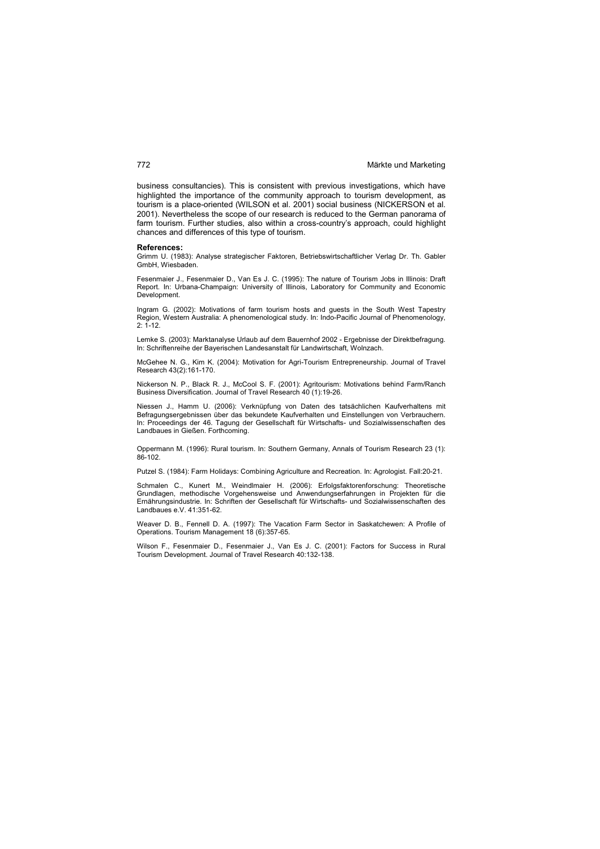business consultancies). This is consistent with previous investigations, which have highlighted the importance of the community approach to tourism development, as tourism is a place-oriented (WILSON et al. 2001) social business (NICKERSON et al. 2001). Nevertheless the scope of our research is reduced to the German panorama of farm tourism. Further studies, also within a cross-country's approach, could highlight chances and differences of this type of tourism.

### **References:**

Grimm U. (1983): Analyse strategischer Faktoren, Betriebswirtschaftlicher Verlag Dr. Th. Gabler GmbH, Wiesbaden.

Fesenmaier J., Fesenmaier D., Van Es J. C. (1995): The nature of Tourism Jobs in Illinois: Draft Report. In: Urbana-Champaign: University of Illinois, Laboratory for Community and Economic **Development** 

Ingram G. (2002): Motivations of farm tourism hosts and guests in the South West Tapestry Region, Western Australia: A phenomenological study. In: Indo-Pacific Journal of Phenomenology,  $2: 1 - 12.$ 

Lemke S. (2003): Marktanalyse Urlaub auf dem Bauernhof 2002 - Ergebnisse der Direktbefragung. In: Schriftenreihe der Bayerischen Landesanstalt für Landwirtschaft, Wolnzach.

McGehee N. G., Kim K. (2004): Motivation for Agri-Tourism Entrepreneurship. Journal of Travel Research 43(2):161-170.

Nickerson N. P., Black R. J., McCool S. F. (2001): Agritourism: Motivations behind Farm/Ranch Business Diversification. Journal of Travel Research 40 (1):19-26.

Niessen J., Hamm U. (2006): Verknüpfung von Daten des tatsächlichen Kaufverhaltens mit Befragungsergebnissen über das bekundete Kaufverhalten und Einstellungen von Verbrauchern. In: Proceedings der 46. Tagung der Gesellschaft für Wirtschafts- und Sozialwissenschaften des Landbaues in Gießen. Forthcoming.

Oppermann M. (1996): Rural tourism. In: Southern Germany, Annals of Tourism Research 23 (1): 86-102.

Putzel S. (1984): Farm Holidays: Combining Agriculture and Recreation. In: Agrologist. Fall:20-21.

Schmalen C., Kunert M., Weindlmaier H. (2006): Erfolgsfaktorenforschung: Theoretische Grundlagen, methodische Vorgehensweise und Anwendungserfahrungen in Projekten für die Ernährungsindustrie. In: Schriften der Gesellschaft für Wirtschafts- und Sozialwissenschaften des Landbaues e.V. 41:351-62.

Weaver D. B., Fennell D. A. (1997): The Vacation Farm Sector in Saskatchewen: A Profile of Operations. Tourism Management 18 (6):357-65.

Wilson F., Fesenmaier D., Fesenmaier J., Van Es J. C. (2001): Factors for Success in Rural Tourism Development. Journal of Travel Research 40:132-138.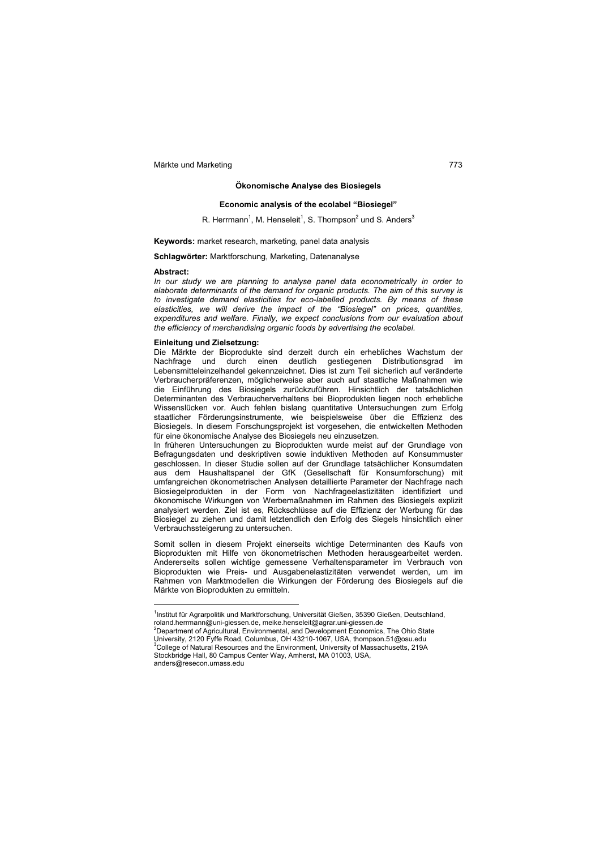### **Ökonomische Analyse des Biosiegels**

### **Economic analysis of the ecolabel "Biosiegel"**

### R. Herrmann<sup>1</sup>, M. Henseleit<sup>1</sup>, S. Thompson<sup>2</sup> und S. Anders<sup>3</sup>

### **Keywords:** market research, marketing, panel data analysis

### **Schlagwörter:** Marktforschung, Marketing, Datenanalyse

### **Abstract:**

 $\overline{a}$ 

*In our study we are planning to analyse panel data econometrically in order to elaborate determinants of the demand for organic products. The aim of this survey is to investigate demand elasticities for eco-labelled products. By means of these elasticities, we will derive the impact of the "Biosiegel" on prices, quantities, expenditures and welfare. Finally, we expect conclusions from our evaluation about the efficiency of merchandising organic foods by advertising the ecolabel.* 

### **Einleitung und Zielsetzung:**

Die Märkte der Bioprodukte sind derzeit durch ein erhebliches Wachstum der Nachfrage und durch einen deutlich gestiegenen Distributionsgrad im Lebensmitteleinzelhandel gekennzeichnet. Dies ist zum Teil sicherlich auf veränderte Verbraucherpräferenzen, möglicherweise aber auch auf staatliche Maßnahmen wie die Einführung des Biosiegels zurückzuführen. Hinsichtlich der tatsächlichen Determinanten des Verbraucherverhaltens bei Bioprodukten liegen noch erhebliche Wissenslücken vor. Auch fehlen bislang quantitative Untersuchungen zum Erfolg staatlicher Förderungsinstrumente, wie beispielsweise über die Effizienz des Biosiegels. In diesem Forschungsprojekt ist vorgesehen, die entwickelten Methoden für eine ökonomische Analyse des Biosiegels neu einzusetzen.

In früheren Untersuchungen zu Bioprodukten wurde meist auf der Grundlage von Befragungsdaten und deskriptiven sowie induktiven Methoden auf Konsummuster geschlossen. In dieser Studie sollen auf der Grundlage tatsächlicher Konsumdaten aus dem Haushaltspanel der GfK (Gesellschaft für Konsumforschung) mit umfangreichen ökonometrischen Analysen detaillierte Parameter der Nachfrage nach Biosiegelprodukten in der Form von Nachfrageelastizitäten identifiziert und ökonomische Wirkungen von Werbemaßnahmen im Rahmen des Biosiegels explizit analysiert werden. Ziel ist es, Rückschlüsse auf die Effizienz der Werbung für das Biosiegel zu ziehen und damit letztendlich den Erfolg des Siegels hinsichtlich einer Verbrauchssteigerung zu untersuchen.

Somit sollen in diesem Projekt einerseits wichtige Determinanten des Kaufs von Bioprodukten mit Hilfe von ökonometrischen Methoden herausgearbeitet werden. Andererseits sollen wichtige gemessene Verhaltensparameter im Verbrauch von Bioprodukten wie Preis- und Ausgabenelastizitäten verwendet werden, um im Rahmen von Marktmodellen die Wirkungen der Förderung des Biosiegels auf die Märkte von Bioprodukten zu ermitteln.

<sup>&</sup>lt;sup>1</sup>Institut für Agrarpolitik und Marktforschung, Universität Gießen, 35390 Gießen, Deutschland, roland.herrmann@uni-giessen.de, meike.henseleit@agrar.uni-giessen.de<br><sup>2</sup>Department of Agricultural, Environmental, and Development Economics, The Ohio State

University, 2120 Fyffe Road, Columbus, OH 43210-1067, USA, thompson.51@osu.edu<br><sup>3</sup>College of Natural Resources and the Environment, University of Massachusetts, 219A Stockbridge Hall, 80 Campus Center Way, Amherst, MA 01003, USA, anders@resecon.umass.edu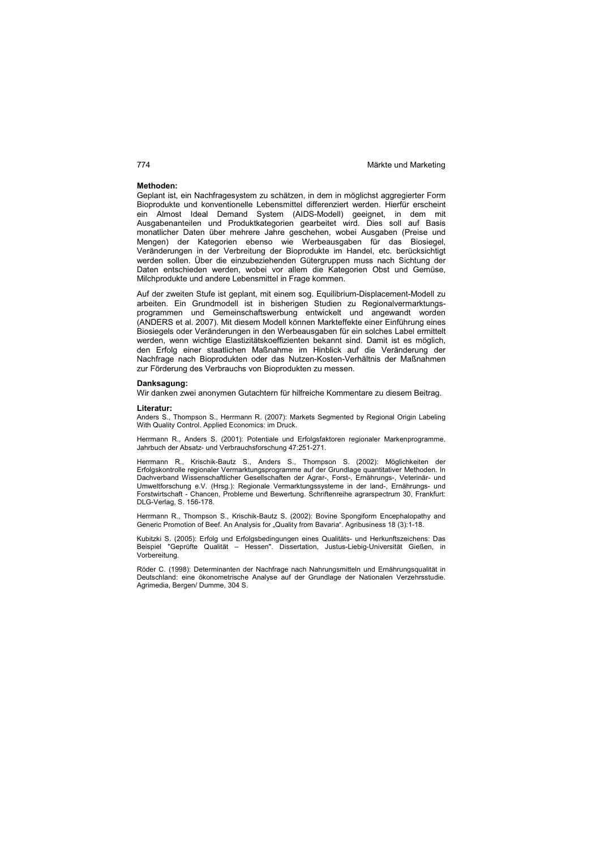### **Methoden:**

Geplant ist, ein Nachfragesystem zu schätzen, in dem in möglichst aggregierter Form Bioprodukte und konventionelle Lebensmittel differenziert werden. Hierfür erscheint ein Almost Ideal Demand System (AIDS-Modell) geeignet, in dem mit Ausgabenanteilen und Produktkategorien gearbeitet wird. Dies soll auf Basis monatlicher Daten über mehrere Jahre geschehen, wobei Ausgaben (Preise und Mengen) der Kategorien ebenso wie Werbeausgaben für das Biosiegel, Veränderungen in der Verbreitung der Bioprodukte im Handel, etc. berücksichtigt werden sollen. Über die einzubeziehenden Gütergruppen muss nach Sichtung der Daten entschieden werden, wobei vor allem die Kategorien Obst und Gemüse, Milchprodukte und andere Lebensmittel in Frage kommen.

Auf der zweiten Stufe ist geplant, mit einem sog. Equilibrium-Displacement-Modell zu arbeiten. Ein Grundmodell ist in bisherigen Studien zu Regionalvermarktungsprogrammen und Gemeinschaftswerbung entwickelt und angewandt worden (ANDERS et al. 2007). Mit diesem Modell können Markteffekte einer Einführung eines Biosiegels oder Veränderungen in den Werbeausgaben für ein solches Label ermittelt werden, wenn wichtige Elastizitätskoeffizienten bekannt sind. Damit ist es möglich, den Erfolg einer staatlichen Maßnahme im Hinblick auf die Veränderung der Nachfrage nach Bioprodukten oder das Nutzen-Kosten-Verhältnis der Maßnahmen zur Förderung des Verbrauchs von Bioprodukten zu messen.

### **Danksagung:**

Wir danken zwei anonymen Gutachtern für hilfreiche Kommentare zu diesem Beitrag.

### **Literatur:**

Anders S., Thompson S., Herrmann R. (2007): Markets Segmented by Regional Origin Labeling With Quality Control. Applied Economics: im Druck.

Herrmann R., Anders S. (2001): Potentiale und Erfolgsfaktoren regionaler Markenprogramme. Jahrbuch der Absatz- und Verbrauchsforschung 47:251-271.

Herrmann R., Krischik-Bautz S., Anders S., Thompson S. (2002): Möglichkeiten der Erfolgskontrolle regionaler Vermarktungsprogramme auf der Grundlage quantitativer Methoden. In Dachverband Wissenschaftlicher Gesellschaften der Agrar-, Forst-, Ernährungs-, Veterinär- und Umweltforschung e.V. (Hrsg.): Regionale Vermarktungssysteme in der land-, Ernährungs- und Forstwirtschaft - Chancen, Probleme und Bewertung. Schriftenreihe agrarspectrum 30, Frankfurt: DLG-Verlag, S. 156-178.

Herrmann R., Thompson S., Krischik-Bautz S. (2002): Bovine Spongiform Encephalopathy and Generic Promotion of Beef. An Analysis for "Quality from Bavaria". Agribusiness 18 (3):1-18.

Kubitzki S. (2005): Erfolg und Erfolgsbedingungen eines Qualitäts- und Herkunftszeichens: Das Beispiel "Geprüfte Qualität – Hessen". Dissertation, Justus-Liebig-Universität Gießen, in Vorbereitung.

Röder C. (1998): Determinanten der Nachfrage nach Nahrungsmitteln und Ernährungsqualität in Deutschland: eine ökonometrische Analyse auf der Grundlage der Nationalen Verzehrsstudie. Agrimedia, Bergen/ Dumme, 304 S.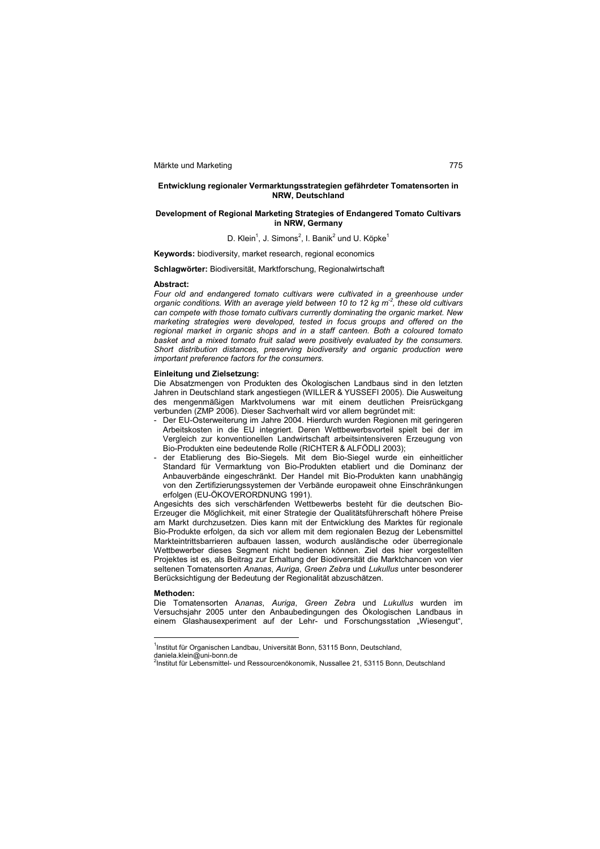### **Entwicklung regionaler Vermarktungsstrategien gefährdeter Tomatensorten in NRW, Deutschland**

### **Development of Regional Marketing Strategies of Endangered Tomato Cultivars in NRW, Germany**

D. Klein<sup>1</sup>, J. Simons<sup>2</sup>, I. Banik<sup>2</sup> und U. Köpke<sup>1</sup>

**Keywords:** biodiversity, market research, regional economics

### **Schlagwörter:** Biodiversität, Marktforschung, Regionalwirtschaft

### **Abstract:**

Four old and endangered tomato cultivars were cultivated in a greenhouse under *organic conditions. With an average yield between 10 to 12 kg m<sup>2</sup>, these old cultivars can compete with those tomato cultivars currently dominating the organic market. New marketing strategies were developed, tested in focus groups and offered on the regional market in organic shops and in a staff canteen. Both a coloured tomato basket and a mixed tomato fruit salad were positively evaluated by the consumers. Short distribution distances, preserving biodiversity and organic production were important preference factors for the consumers.* 

### **Einleitung und Zielsetzung:**

Die Absatzmengen von Produkten des Ökologischen Landbaus sind in den letzten Jahren in Deutschland stark angestiegen (WILLER & YUSSEFI 2005). Die Ausweitung des mengenmäßigen Marktvolumens war mit einem deutlichen Preisrückgang verbunden (ZMP 2006). Dieser Sachverhalt wird vor allem begründet mit:

- Der EU-Osterweiterung im Jahre 2004. Hierdurch wurden Regionen mit geringeren Arbeitskosten in die EU integriert. Deren Wettbewerbsvorteil spielt bei der im Vergleich zur konventionellen Landwirtschaft arbeitsintensiveren Erzeugung von Bio-Produkten eine bedeutende Rolle (RICHTER & ALFÖDLI 2003);
- der Etablierung des Bio-Siegels. Mit dem Bio-Siegel wurde ein einheitlicher Standard für Vermarktung von Bio-Produkten etabliert und die Dominanz der Anbauverbände eingeschränkt. Der Handel mit Bio-Produkten kann unabhängig von den Zertifizierungssystemen der Verbände europaweit ohne Einschränkungen erfolgen (EU-ÖKOVERORDNUNG 1991).

Angesichts des sich verschärfenden Wettbewerbs besteht für die deutschen Bio-Erzeuger die Möglichkeit, mit einer Strategie der Qualitätsführerschaft höhere Preise am Markt durchzusetzen. Dies kann mit der Entwicklung des Marktes für regionale Bio-Produkte erfolgen, da sich vor allem mit dem regionalen Bezug der Lebensmittel Markteintrittsbarrieren aufbauen lassen, wodurch ausländische oder überregionale Wettbewerber dieses Segment nicht bedienen können. Ziel des hier vorgestellten Projektes ist es, als Beitrag zur Erhaltung der Biodiversität die Marktchancen von vier seltenen Tomatensorten *Ananas*, *Auriga*, *Green Zebra* und *Lukullus* unter besonderer Berücksichtigung der Bedeutung der Regionalität abzuschätzen.

### **Methoden:**

 $\overline{a}$ 

Die Tomatensorten A*nanas*, *Auriga*, *Green Zebra* und *Lukullus* wurden im Versuchsjahr 2005 unter den Anbaubedingungen des Ökologischen Landbaus in einem Glashausexperiment auf der Lehr- und Forschungsstation "Wiesengut",

<sup>&</sup>lt;sup>1</sup>Institut für Organischen Landbau, Universität Bonn, 53115 Bonn, Deutschland,

daniela.klein@uni-bonn.de

<sup>2</sup> Institut für Lebensmittel- und Ressourcenökonomik, Nussallee 21, 53115 Bonn, Deutschland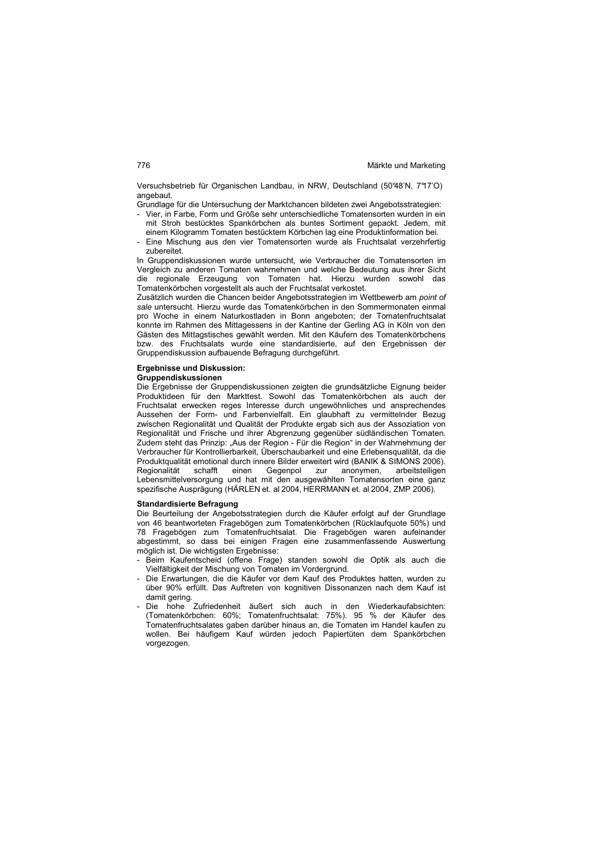Versuchsbetrieb für Organischen Landbau, in NRW, Deutschland (50°48'N, 7°17'O) angebaut.

- Grundlage für die Untersuchung der Marktchancen bildeten zwei Angebotsstrategien: - Vier, in Farbe, Form und Größe sehr unterschiedliche Tomatensorten wurden in ein mit Stroh bestücktes Spankörbchen als buntes Sortiment gepackt. Jedem, mit einem Kilogramm Tomaten bestücktem Körbchen lag eine Produktinformation bei.
- Eine Mischung aus den vier Tomatensorten wurde als Fruchtsalat verzehrfertig zubereitet.

In Gruppendiskussionen wurde untersucht, wie Verbraucher die Tomatensorten im Vergleich zu anderen Tomaten wahrnehmen und welche Bedeutung aus ihrer Sicht die regionale Erzeugung von Tomaten hat. Hierzu wurden sowohl das Tomatenkörbchen vorgestellt als auch der Fruchtsalat verkostet.

Zusätzlich wurden die Chancen beider Angebotsstrategien im Wettbewerb am *point of sale* untersucht. Hierzu wurde das Tomatenkörbchen in den Sommermonaten einmal pro Woche in einem Naturkostladen in Bonn angeboten; der Tomatenfruchtsalat konnte im Rahmen des Mittagessens in der Kantine der Gerling AG in Köln von den Gästen des Mittagstisches gewählt werden. Mit den Käufern des Tomatenkörbchens bzw. des Fruchtsalats wurde eine standardisierte, auf den Ergebnissen der Gruppendiskussion aufbauende Befragung durchgeführt.

# **Ergebnisse und Diskussion:**

### **Gruppendiskussionen**

Die Ergebnisse der Gruppendiskussionen zeigten die grundsätzliche Eignung beider Produktideen für den Markttest. Sowohl das Tomatenkörbchen als auch der Fruchtsalat erwecken reges Interesse durch ungewöhnliches und ansprechendes Aussehen der Form- und Farbenvielfalt. Ein glaubhaft zu vermittelnder Bezug zwischen Regionalität und Qualität der Produkte ergab sich aus der Assoziation von Regionalität und Frische und ihrer Abgrenzung gegenüber südländischen Tomaten. Zudem steht das Prinzip: "Aus der Region - Für die Region" in der Wahrnehmung der Verbraucher für Kontrollierbarkeit, Überschaubarkeit und eine Erlebensqualität, da die Produktqualität emotional durch innere Bilder erweitert wird (BANIK & SIMONS 2006). schafft einen Gegenpol Lebensmittelversorgung und hat mit den ausgewählten Tomatensorten eine ganz spezifische Ausprägung (HÄRLEN et. al 2004, HERRMANN et. al 2004, ZMP 2006).

### **Standardisierte Befragung**

Die Beurteilung der Angebotsstrategien durch die Käufer erfolgt auf der Grundlage von 46 beantworteten Fragebögen zum Tomatenkörbchen (Rücklaufquote 50%) und 78 Fragebögen zum Tomatenfruchtsalat. Die Fragebögen waren aufeinander abgestimmt, so dass bei einigen Fragen eine zusammenfassende Auswertung möglich ist. Die wichtigsten Ergebnisse:

- Beim Kaufentscheid (offene Frage) standen sowohl die Optik als auch die Vielfältigkeit der Mischung von Tomaten im Vordergrund.
- Die Erwartungen, die die Käufer vor dem Kauf des Produktes hatten, wurden zu über 90% erfüllt. Das Auftreten von kognitiven Dissonanzen nach dem Kauf ist damit gering.
- Die hohe Zufriedenheit äußert sich auch in den Wiederkaufabsichten: (Tomatenkörbchen: 60%; Tomatenfruchtsalat: 75%). 95 % der Käufer des Tomatenfruchtsalates gaben darüber hinaus an, die Tomaten im Handel kaufen zu wollen. Bei häufigem Kauf würden jedoch Papiertüten dem Spankörbchen vorgezogen.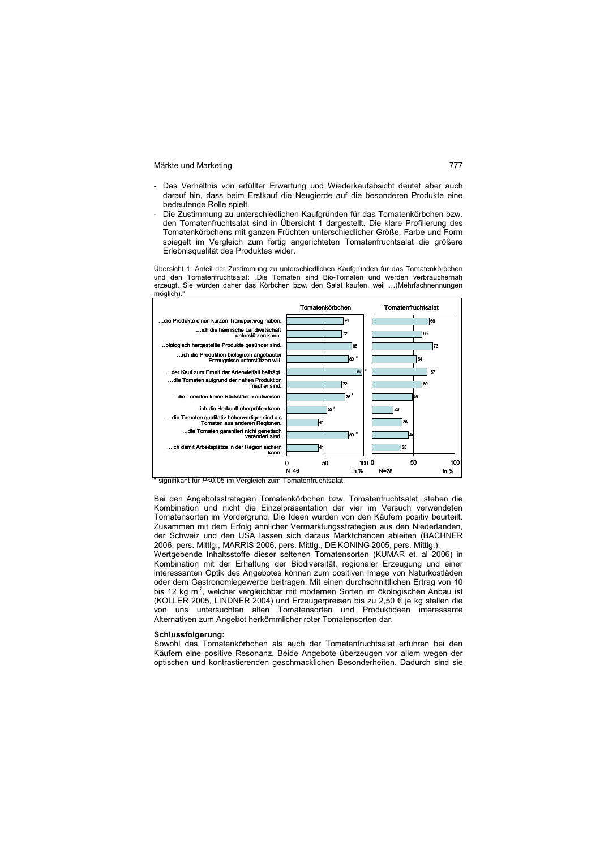- Das Verhältnis von erfüllter Erwartung und Wiederkaufabsicht deutet aber auch darauf hin, dass beim Erstkauf die Neugierde auf die besonderen Produkte eine bedeutende Rolle spielt.
- Die Zustimmung zu unterschiedlichen Kaufgründen für das Tomatenkörbchen bzw. den Tomatenfruchtsalat sind in Übersicht 1 dargestellt. Die klare Profilierung des Tomatenkörbchens mit ganzen Früchten unterschiedlicher Größe, Farbe und Form spiegelt im Vergleich zum fertig angerichteten Tomatenfruchtsalat die größere Erlebnisqualität des Produktes wider.

Übersicht 1: Anteil der Zustimmung zu unterschiedlichen Kaufgründen für das Tomatenkörbchen und den Tomatenfruchtsalat: "Die Tomaten sind Bio-Tomaten und werden verbrauchernah erzeugt. Sie würden daher das Körbchen bzw. den Salat kaufen, weil …(Mehrfachnennungen möglich)."



signifikant für  $P$ <0.05 im Vergleich zum Tomatenfruchtsalat

Bei den Angebotsstrategien Tomatenkörbchen bzw. Tomatenfruchtsalat, stehen die Kombination und nicht die Einzelpräsentation der vier im Versuch verwendeten Tomatensorten im Vordergrund. Die Ideen wurden von den Käufern positiv beurteilt. Zusammen mit dem Erfolg ähnlicher Vermarktungsstrategien aus den Niederlanden, der Schweiz und den USA lassen sich daraus Marktchancen ableiten (BACHNER 2006, pers. Mittlg., MARRIS 2006, pers. Mittlg., DE KONING 2005, pers. Mittlg.).

Wertgebende Inhaltsstoffe dieser seltenen Tomatensorten (KUMAR et. al 2006) in Kombination mit der Erhaltung der Biodiversität, regionaler Erzeugung und einer interessanten Optik des Angebotes können zum positiven Image von Naturkostläden oder dem Gastronomiegewerbe beitragen. Mit einen durchschnittlichen Ertrag von 10 bis 12 kg m<sup>-2</sup>, welcher vergleichbar mit modernen Sorten im ökologischen Anbau ist (KOLLER 2005, LINDNER 2004) und Erzeugerpreisen bis zu 2,50 € je kg stellen die von uns untersuchten alten Tomatensorten und Produktideen interessante Alternativen zum Angebot herkömmlicher roter Tomatensorten dar.

### **Schlussfolgerung:**

Sowohl das Tomatenkörbchen als auch der Tomatenfruchtsalat erfuhren bei den Käufern eine positive Resonanz. Beide Angebote überzeugen vor allem wegen der optischen und kontrastierenden geschmacklichen Besonderheiten. Dadurch sind sie